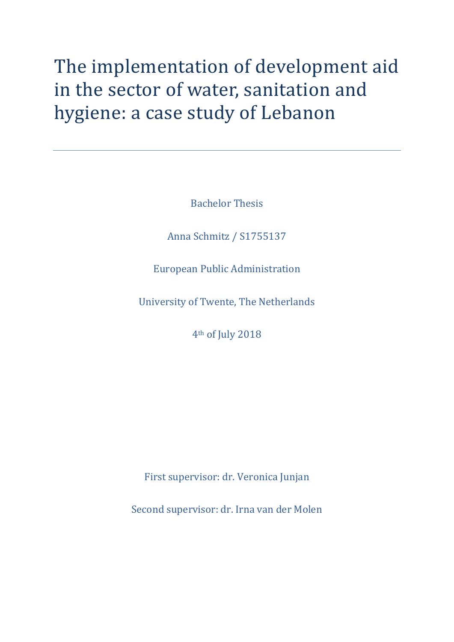# The implementation of development aid in the sector of water, sanitation and hygiene: a case study of Lebanon

Bachelor Thesis

Anna Schmitz / S1755137

European Public Administration

University of Twente, The Netherlands

4th of July 2018

First supervisor: dr. Veronica Junjan

Second supervisor: dr. Irna van der Molen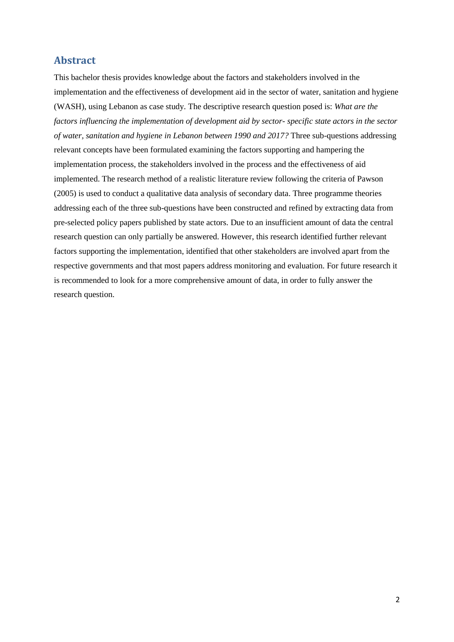# <span id="page-1-0"></span>**Abstract**

This bachelor thesis provides knowledge about the factors and stakeholders involved in the implementation and the effectiveness of development aid in the sector of water, sanitation and hygiene (WASH), using Lebanon as case study. The descriptive research question posed is: *What are the factors influencing the implementation of development aid by sector- specific state actors in the sector of water, sanitation and hygiene in Lebanon between 1990 and 2017?* Three sub-questions addressing relevant concepts have been formulated examining the factors supporting and hampering the implementation process, the stakeholders involved in the process and the effectiveness of aid implemented. The research method of a realistic literature review following the criteria of Pawson (2005) is used to conduct a qualitative data analysis of secondary data. Three programme theories addressing each of the three sub-questions have been constructed and refined by extracting data from pre-selected policy papers published by state actors. Due to an insufficient amount of data the central research question can only partially be answered. However, this research identified further relevant factors supporting the implementation, identified that other stakeholders are involved apart from the respective governments and that most papers address monitoring and evaluation. For future research it is recommended to look for a more comprehensive amount of data, in order to fully answer the research question.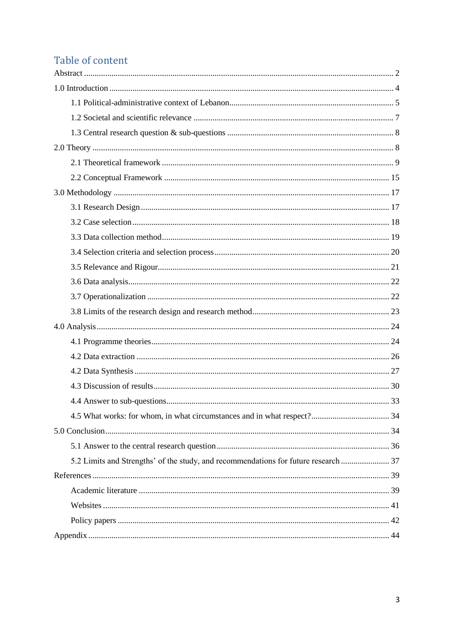# Table of content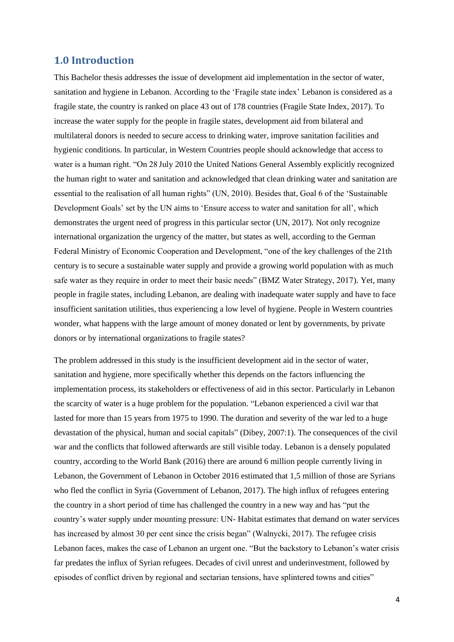# <span id="page-3-0"></span>**1.0 Introduction**

This Bachelor thesis addresses the issue of development aid implementation in the sector of water, sanitation and hygiene in Lebanon. According to the 'Fragile state index' Lebanon is considered as a fragile state, the country is ranked on place 43 out of 178 countries (Fragile State Index, 2017). To increase the water supply for the people in fragile states, development aid from bilateral and multilateral donors is needed to secure access to drinking water, improve sanitation facilities and hygienic conditions. In particular, in Western Countries people should acknowledge that access to water is a human right. "On 28 July 2010 the United Nations General Assembly explicitly recognized the human right to water and sanitation and acknowledged that clean drinking water and sanitation are essential to the realisation of all human rights" (UN, 2010). Besides that, Goal 6 of the 'Sustainable Development Goals' set by the UN aims to 'Ensure access to water and sanitation for all', which demonstrates the urgent need of progress in this particular sector (UN, 2017). Not only recognize international organization the urgency of the matter, but states as well, according to the German Federal Ministry of Economic Cooperation and Development, "one of the key challenges of the 21th century is to secure a sustainable water supply and provide a growing world population with as much safe water as they require in order to meet their basic needs" (BMZ Water Strategy, 2017). Yet, many people in fragile states, including Lebanon, are dealing with inadequate water supply and have to face insufficient sanitation utilities, thus experiencing a low level of hygiene. People in Western countries wonder, what happens with the large amount of money donated or lent by governments, by private donors or by international organizations to fragile states?

The problem addressed in this study is the insufficient development aid in the sector of water, sanitation and hygiene, more specifically whether this depends on the factors influencing the implementation process, its stakeholders or effectiveness of aid in this sector. Particularly in Lebanon the scarcity of water is a huge problem for the population. "Lebanon experienced a civil war that lasted for more than 15 years from 1975 to 1990. The duration and severity of the war led to a huge devastation of the physical, human and social capitals" (Dibey, 2007:1). The consequences of the civil war and the conflicts that followed afterwards are still visible today. Lebanon is a densely populated country, according to the World Bank (2016) there are around 6 million people currently living in Lebanon, the Government of Lebanon in October 2016 estimated that 1,5 million of those are Syrians who fled the conflict in Syria (Government of Lebanon, 2017). The high influx of refugees entering the country in a short period of time has challenged the country in a new way and has "put the country's water supply under mounting pressure: UN- Habitat estimates that demand on water services has increased by almost 30 per cent since the crisis began" (Walnycki, 2017). The refugee crisis Lebanon faces, makes the case of Lebanon an urgent one. "But the backstory to Lebanon's water crisis far predates the influx of Syrian refugees. Decades of civil unrest and underinvestment, followed by episodes of conflict driven by regional and sectarian tensions, have splintered towns and cities"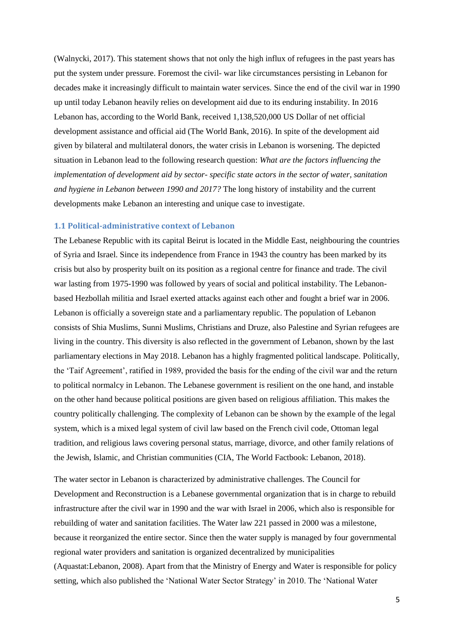(Walnycki, 2017). This statement shows that not only the high influx of refugees in the past years has put the system under pressure. Foremost the civil- war like circumstances persisting in Lebanon for decades make it increasingly difficult to maintain water services. Since the end of the civil war in 1990 up until today Lebanon heavily relies on development aid due to its enduring instability. In 2016 Lebanon has, according to the World Bank, received 1,138,520,000 US Dollar of net official development assistance and official aid (The World Bank, 2016). In spite of the development aid given by bilateral and multilateral donors, the water crisis in Lebanon is worsening. The depicted situation in Lebanon lead to the following research question: *What are the factors influencing the implementation of development aid by sector- specific state actors in the sector of water, sanitation and hygiene in Lebanon between 1990 and 2017?* The long history of instability and the current developments make Lebanon an interesting and unique case to investigate.

#### <span id="page-4-0"></span>**1.1 Political-administrative context of Lebanon**

The Lebanese Republic with its capital Beirut is located in the Middle East, neighbouring the countries of Syria and Israel. Since its independence from France in 1943 the country has been marked by its crisis but also by prosperity built on its position as a regional centre for finance and trade. The civil war lasting from 1975-1990 was followed by years of social and political instability. The Lebanonbased Hezbollah militia and Israel exerted attacks against each other and fought a brief war in 2006. Lebanon is officially a sovereign state and a parliamentary republic. The population of Lebanon consists of Shia Muslims, Sunni Muslims, Christians and Druze, also Palestine and Syrian refugees are living in the country. This diversity is also reflected in the government of Lebanon, shown by the last parliamentary elections in May 2018. Lebanon has a highly fragmented political landscape. Politically, the 'Taif Agreement', ratified in 1989, provided the basis for the ending of the civil war and the return to political normalcy in Lebanon. The Lebanese government is resilient on the one hand, and instable on the other hand because political positions are given based on religious affiliation. This makes the country politically challenging. The complexity of Lebanon can be shown by the example of the legal system, which is a mixed legal system of civil law based on the French civil code, Ottoman legal tradition, and religious laws covering personal status, marriage, divorce, and other family relations of the Jewish, Islamic, and Christian communities (CIA, The World Factbook: Lebanon, 2018).

The water sector in Lebanon is characterized by administrative challenges. The Council for Development and Reconstruction is a Lebanese governmental organization that is in charge to rebuild infrastructure after the civil war in 1990 and the war with Israel in 2006, which also is responsible for rebuilding of water and sanitation facilities. The Water law 221 passed in 2000 was a milestone, because it reorganized the entire sector. Since then the water supply is managed by four governmental regional water providers and sanitation is organized decentralized by municipalities (Aquastat:Lebanon, 2008). Apart from that the Ministry of Energy and Water is responsible for policy setting, which also published the 'National Water Sector Strategy' in 2010. The 'National Water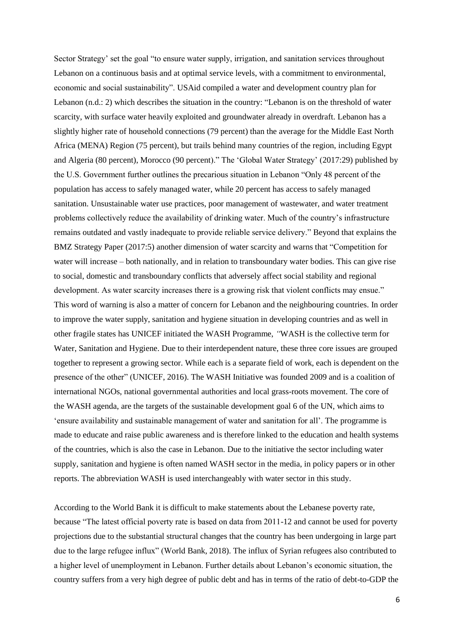Sector Strategy' set the goal "to ensure water supply, irrigation, and sanitation services throughout Lebanon on a continuous basis and at optimal service levels, with a commitment to environmental, economic and social sustainability". USAid compiled a water and development country plan for Lebanon (n.d.: 2) which describes the situation in the country: "Lebanon is on the threshold of water scarcity, with surface water heavily exploited and groundwater already in overdraft. Lebanon has a slightly higher rate of household connections (79 percent) than the average for the Middle East North Africa (MENA) Region (75 percent), but trails behind many countries of the region, including Egypt and Algeria (80 percent), Morocco (90 percent)." The 'Global Water Strategy' (2017:29) published by the U.S. Government further outlines the precarious situation in Lebanon "Only 48 percent of the population has access to safely managed water, while 20 percent has access to safely managed sanitation. Unsustainable water use practices, poor management of wastewater, and water treatment problems collectively reduce the availability of drinking water. Much of the country's infrastructure remains outdated and vastly inadequate to provide reliable service delivery." Beyond that explains the BMZ Strategy Paper (2017:5) another dimension of water scarcity and warns that "Competition for water will increase – both nationally, and in relation to transboundary water bodies. This can give rise to social, domestic and transboundary conflicts that adversely affect social stability and regional development. As water scarcity increases there is a growing risk that violent conflicts may ensue." This word of warning is also a matter of concern for Lebanon and the neighbouring countries. In order to improve the water supply, sanitation and hygiene situation in developing countries and as well in other fragile states has UNICEF initiated the WASH Programme, *"*WASH is the collective term for Water, Sanitation and Hygiene. Due to their interdependent nature, these three core issues are grouped together to represent a growing sector. While each is a separate field of work, each is dependent on the presence of the other" (UNICEF, 2016). The WASH Initiative was founded 2009 and is a coalition of international NGOs, national governmental authorities and local grass-roots movement. The core of the WASH agenda, are the targets of the sustainable development goal 6 of the UN, which aims to 'ensure availability and sustainable management of water and sanitation for all'. The programme is made to educate and raise public awareness and is therefore linked to the education and health systems of the countries, which is also the case in Lebanon. Due to the initiative the sector including water supply, sanitation and hygiene is often named WASH sector in the media, in policy papers or in other reports. The abbreviation WASH is used interchangeably with water sector in this study.

According to the World Bank it is difficult to make statements about the Lebanese poverty rate, because "The latest official poverty rate is based on data from 2011-12 and cannot be used for poverty projections due to the substantial structural changes that the country has been undergoing in large part due to the large refugee influx" (World Bank, 2018). The influx of Syrian refugees also contributed to a higher level of unemployment in Lebanon. Further details about Lebanon's economic situation, the country suffers from a very high degree of public debt and has in terms of the ratio of debt-to-GDP the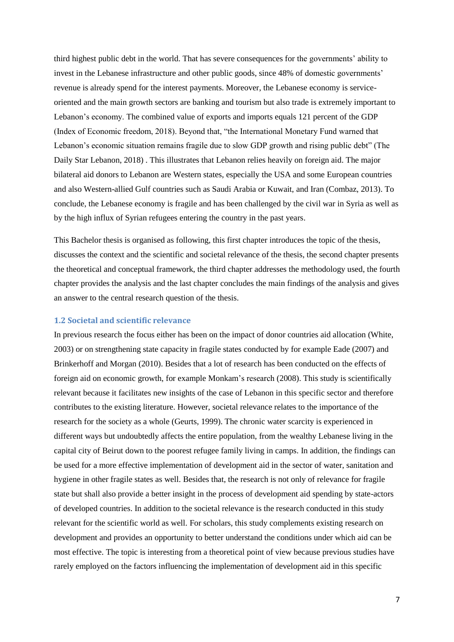third highest public debt in the world. That has severe consequences for the governments' ability to invest in the Lebanese infrastructure and other public goods, since 48% of domestic governments' revenue is already spend for the interest payments. Moreover, the Lebanese economy is serviceoriented and the main growth sectors are banking and tourism but also trade is extremely important to Lebanon's economy. The combined value of exports and imports equals 121 percent of the GDP (Index of Economic freedom, 2018). Beyond that, "the International Monetary Fund warned that Lebanon's economic situation remains fragile due to slow GDP growth and rising public debt" (The Daily Star Lebanon, 2018) . This illustrates that Lebanon relies heavily on foreign aid. The major bilateral aid donors to Lebanon are Western states, especially the USA and some European countries and also Western-allied Gulf countries such as Saudi Arabia or Kuwait, and Iran (Combaz, 2013). To conclude, the Lebanese economy is fragile and has been challenged by the civil war in Syria as well as by the high influx of Syrian refugees entering the country in the past years.

This Bachelor thesis is organised as following, this first chapter introduces the topic of the thesis, discusses the context and the scientific and societal relevance of the thesis, the second chapter presents the theoretical and conceptual framework, the third chapter addresses the methodology used, the fourth chapter provides the analysis and the last chapter concludes the main findings of the analysis and gives an answer to the central research question of the thesis.

#### <span id="page-6-0"></span>**1.2 Societal and scientific relevance**

In previous research the focus either has been on the impact of donor countries aid allocation (White, 2003) or on strengthening state capacity in fragile states conducted by for example Eade (2007) and Brinkerhoff and Morgan (2010). Besides that a lot of research has been conducted on the effects of foreign aid on economic growth, for example Monkam's research (2008). This study is scientifically relevant because it facilitates new insights of the case of Lebanon in this specific sector and therefore contributes to the existing literature. However, societal relevance relates to the importance of the research for the society as a whole (Geurts, 1999). The chronic water scarcity is experienced in different ways but undoubtedly affects the entire population, from the wealthy Lebanese living in the capital city of Beirut down to the poorest refugee family living in camps. In addition, the findings can be used for a more effective implementation of development aid in the sector of water, sanitation and hygiene in other fragile states as well. Besides that, the research is not only of relevance for fragile state but shall also provide a better insight in the process of development aid spending by state-actors of developed countries. In addition to the societal relevance is the research conducted in this study relevant for the scientific world as well. For scholars, this study complements existing research on development and provides an opportunity to better understand the conditions under which aid can be most effective. The topic is interesting from a theoretical point of view because previous studies have rarely employed on the factors influencing the implementation of development aid in this specific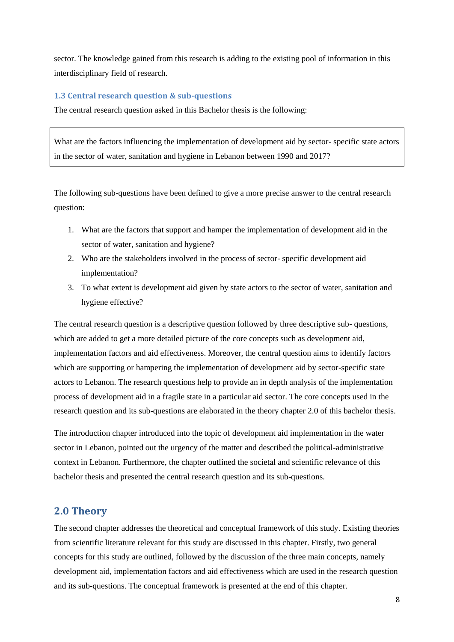sector. The knowledge gained from this research is adding to the existing pool of information in this interdisciplinary field of research.

### <span id="page-7-0"></span>**1.3 Central research question & sub-questions**

The central research question asked in this Bachelor thesis is the following:

What are the factors influencing the implementation of development aid by sector- specific state actors in the sector of water, sanitation and hygiene in Lebanon between 1990 and 2017?

The following sub-questions have been defined to give a more precise answer to the central research question:

- 1. What are the factors that support and hamper the implementation of development aid in the sector of water, sanitation and hygiene?
- 2. Who are the stakeholders involved in the process of sector- specific development aid implementation?
- 3. To what extent is development aid given by state actors to the sector of water, sanitation and hygiene effective?

The central research question is a descriptive question followed by three descriptive sub- questions, which are added to get a more detailed picture of the core concepts such as development aid, implementation factors and aid effectiveness. Moreover, the central question aims to identify factors which are supporting or hampering the implementation of development aid by sector-specific state actors to Lebanon. The research questions help to provide an in depth analysis of the implementation process of development aid in a fragile state in a particular aid sector. The core concepts used in the research question and its sub-questions are elaborated in the theory chapter 2.0 of this bachelor thesis.

The introduction chapter introduced into the topic of development aid implementation in the water sector in Lebanon, pointed out the urgency of the matter and described the political-administrative context in Lebanon. Furthermore, the chapter outlined the societal and scientific relevance of this bachelor thesis and presented the central research question and its sub-questions.

# <span id="page-7-1"></span>**2.0 Theory**

The second chapter addresses the theoretical and conceptual framework of this study. Existing theories from scientific literature relevant for this study are discussed in this chapter. Firstly, two general concepts for this study are outlined, followed by the discussion of the three main concepts, namely development aid, implementation factors and aid effectiveness which are used in the research question and its sub-questions. The conceptual framework is presented at the end of this chapter.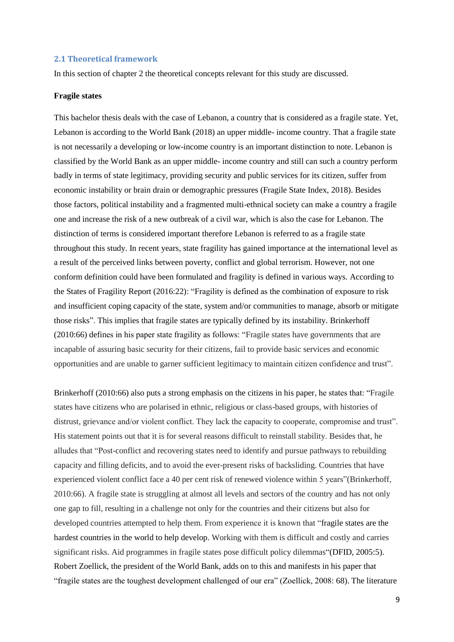#### <span id="page-8-0"></span>**2.1 Theoretical framework**

In this section of chapter 2 the theoretical concepts relevant for this study are discussed.

#### **Fragile states**

This bachelor thesis deals with the case of Lebanon, a country that is considered as a fragile state. Yet, Lebanon is according to the World Bank (2018) an upper middle- income country. That a fragile state is not necessarily a developing or low-income country is an important distinction to note. Lebanon is classified by the World Bank as an upper middle- income country and still can such a country perform badly in terms of state legitimacy, providing security and public services for its citizen, suffer from economic instability or brain drain or demographic pressures (Fragile State Index, 2018). Besides those factors, political instability and a fragmented multi-ethnical society can make a country a fragile one and increase the risk of a new outbreak of a civil war, which is also the case for Lebanon. The distinction of terms is considered important therefore Lebanon is referred to as a fragile state throughout this study. In recent years, state fragility has gained importance at the international level as a result of the perceived links between poverty, conflict and global terrorism. However, not one conform definition could have been formulated and fragility is defined in various ways. According to the States of Fragility Report (2016:22): "Fragility is defined as the combination of exposure to risk and insufficient coping capacity of the state, system and/or communities to manage, absorb or mitigate those risks". This implies that fragile states are typically defined by its instability. Brinkerhoff (2010:66) defines in his paper state fragility as follows: "Fragile states have governments that are incapable of assuring basic security for their citizens, fail to provide basic services and economic opportunities and are unable to garner sufficient legitimacy to maintain citizen confidence and trust".

Brinkerhoff (2010:66) also puts a strong emphasis on the citizens in his paper, he states that: "Fragile states have citizens who are polarised in ethnic, religious or class-based groups, with histories of distrust, grievance and/or violent conflict. They lack the capacity to cooperate, compromise and trust". His statement points out that it is for several reasons difficult to reinstall stability. Besides that, he alludes that "Post-conflict and recovering states need to identify and pursue pathways to rebuilding capacity and filling deficits, and to avoid the ever-present risks of backsliding. Countries that have experienced violent conflict face a 40 per cent risk of renewed violence within 5 years"(Brinkerhoff, 2010:66). A fragile state is struggling at almost all levels and sectors of the country and has not only one gap to fill, resulting in a challenge not only for the countries and their citizens but also for developed countries attempted to help them. From experience it is known that "fragile states are the hardest countries in the world to help develop. Working with them is difficult and costly and carries significant risks. Aid programmes in fragile states pose difficult policy dilemmas"(DFID, 2005:5). Robert Zoellick, the president of the World Bank, adds on to this and manifests in his paper that "fragile states are the toughest development challenged of our era" (Zoellick, 2008: 68). The literature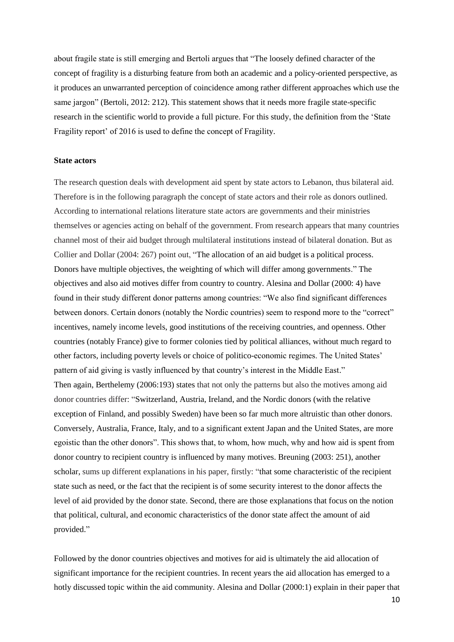about fragile state is still emerging and Bertoli argues that "The loosely defined character of the concept of fragility is a disturbing feature from both an academic and a policy-oriented perspective, as it produces an unwarranted perception of coincidence among rather different approaches which use the same jargon" (Bertoli, 2012: 212). This statement shows that it needs more fragile state-specific research in the scientific world to provide a full picture. For this study, the definition from the 'State Fragility report' of 2016 is used to define the concept of Fragility.

#### **State actors**

The research question deals with development aid spent by state actors to Lebanon, thus bilateral aid. Therefore is in the following paragraph the concept of state actors and their role as donors outlined. According to international relations literature state actors are governments and their ministries themselves or agencies acting on behalf of the government. From research appears that many countries channel most of their aid budget through multilateral institutions instead of bilateral donation. But as Collier and Dollar (2004: 267) point out, "The allocation of an aid budget is a political process. Donors have multiple objectives, the weighting of which will differ among governments." The objectives and also aid motives differ from country to country. Alesina and Dollar (2000: 4) have found in their study different donor patterns among countries: "We also find significant differences between donors. Certain donors (notably the Nordic countries) seem to respond more to the "correct" incentives, namely income levels, good institutions of the receiving countries, and openness. Other countries (notably France) give to former colonies tied by political alliances, without much regard to other factors, including poverty levels or choice of politico-economic regimes. The United States' pattern of aid giving is vastly influenced by that country's interest in the Middle East." Then again, Berthelemy (2006:193) states that not only the patterns but also the motives among aid donor countries differ: "Switzerland, Austria, Ireland, and the Nordic donors (with the relative exception of Finland, and possibly Sweden) have been so far much more altruistic than other donors. Conversely, Australia, France, Italy, and to a significant extent Japan and the United States, are more egoistic than the other donors". This shows that, to whom, how much, why and how aid is spent from donor country to recipient country is influenced by many motives. Breuning (2003: 251), another scholar, sums up different explanations in his paper, firstly: "that some characteristic of the recipient state such as need, or the fact that the recipient is of some security interest to the donor affects the level of aid provided by the donor state. Second, there are those explanations that focus on the notion that political, cultural, and economic characteristics of the donor state affect the amount of aid provided."

Followed by the donor countries objectives and motives for aid is ultimately the aid allocation of significant importance for the recipient countries. In recent years the aid allocation has emerged to a hotly discussed topic within the aid community. Alesina and Dollar (2000:1) explain in their paper that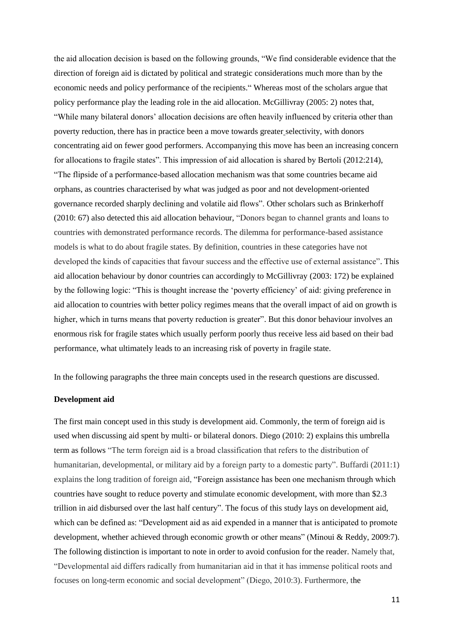the aid allocation decision is based on the following grounds, "We find considerable evidence that the direction of foreign aid is dictated by political and strategic considerations much more than by the economic needs and policy performance of the recipients." Whereas most of the scholars argue that policy performance play the leading role in the aid allocation. McGillivray (2005: 2) notes that, "While many bilateral donors' allocation decisions are often heavily influenced by criteria other than poverty reduction, there has in practice been a move towards greater selectivity, with donors concentrating aid on fewer good performers. Accompanying this move has been an increasing concern for allocations to fragile states". This impression of aid allocation is shared by Bertoli (2012:214), "The flipside of a performance-based allocation mechanism was that some countries became aid orphans, as countries characterised by what was judged as poor and not development-oriented governance recorded sharply declining and volatile aid flows". Other scholars such as Brinkerhoff (2010: 67) also detected this aid allocation behaviour, "Donors began to channel grants and loans to countries with demonstrated performance records. The dilemma for performance-based assistance models is what to do about fragile states. By definition, countries in these categories have not developed the kinds of capacities that favour success and the effective use of external assistance". This aid allocation behaviour by donor countries can accordingly to McGillivray (2003: 172) be explained by the following logic: "This is thought increase the 'poverty efficiency' of aid: giving preference in aid allocation to countries with better policy regimes means that the overall impact of aid on growth is higher, which in turns means that poverty reduction is greater". But this donor behaviour involves an enormous risk for fragile states which usually perform poorly thus receive less aid based on their bad performance, what ultimately leads to an increasing risk of poverty in fragile state.

In the following paragraphs the three main concepts used in the research questions are discussed.

#### **Development aid**

The first main concept used in this study is development aid. Commonly, the term of foreign aid is used when discussing aid spent by multi- or bilateral donors. Diego (2010: 2) explains this umbrella term as follows "The term foreign aid is a broad classification that refers to the distribution of humanitarian, developmental, or military aid by a foreign party to a domestic party". Buffardi (2011:1) explains the long tradition of foreign aid, "Foreign assistance has been one mechanism through which countries have sought to reduce poverty and stimulate economic development, with more than \$2.3 trillion in aid disbursed over the last half century". The focus of this study lays on development aid, which can be defined as: "Development aid as aid expended in a manner that is anticipated to promote development, whether achieved through economic growth or other means" (Minoui & Reddy, 2009:7). The following distinction is important to note in order to avoid confusion for the reader. Namely that, "Developmental aid differs radically from humanitarian aid in that it has immense political roots and focuses on long-term economic and social development" (Diego, 2010:3). Furthermore, the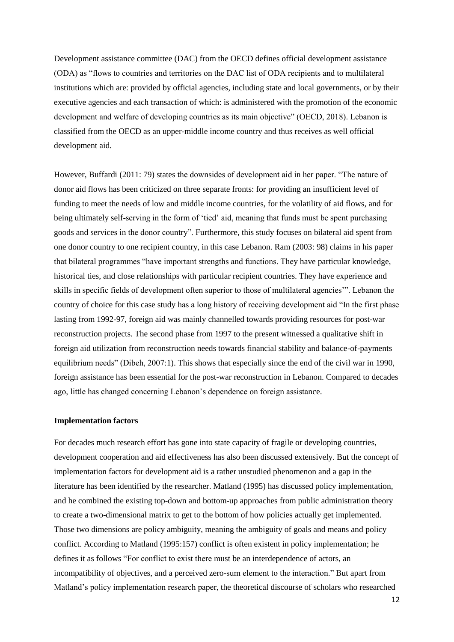Development assistance committee (DAC) from the OECD defines official development assistance (ODA) as "flows to countries and territories on the DAC list of ODA recipients and to multilateral institutions which are: provided by official agencies, including state and local governments, or by their executive agencies and each transaction of which: is administered with the promotion of the economic development and welfare of developing countries as its main objective" (OECD, 2018). Lebanon is classified from the OECD as an upper-middle income country and thus receives as well official development aid.

However, Buffardi (2011: 79) states the downsides of development aid in her paper. "The nature of donor aid flows has been criticized on three separate fronts: for providing an insufficient level of funding to meet the needs of low and middle income countries, for the volatility of aid flows, and for being ultimately self-serving in the form of 'tied' aid, meaning that funds must be spent purchasing goods and services in the donor country". Furthermore, this study focuses on bilateral aid spent from one donor country to one recipient country, in this case Lebanon. Ram (2003: 98) claims in his paper that bilateral programmes "have important strengths and functions. They have particular knowledge, historical ties, and close relationships with particular recipient countries. They have experience and skills in specific fields of development often superior to those of multilateral agencies'". Lebanon the country of choice for this case study has a long history of receiving development aid "In the first phase lasting from 1992-97, foreign aid was mainly channelled towards providing resources for post-war reconstruction projects. The second phase from 1997 to the present witnessed a qualitative shift in foreign aid utilization from reconstruction needs towards financial stability and balance-of-payments equilibrium needs" (Dibeh, 2007:1). This shows that especially since the end of the civil war in 1990, foreign assistance has been essential for the post-war reconstruction in Lebanon. Compared to decades ago, little has changed concerning Lebanon's dependence on foreign assistance.

#### **Implementation factors**

For decades much research effort has gone into state capacity of fragile or developing countries, development cooperation and aid effectiveness has also been discussed extensively. But the concept of implementation factors for development aid is a rather unstudied phenomenon and a gap in the literature has been identified by the researcher. Matland (1995) has discussed policy implementation, and he combined the existing top-down and bottom-up approaches from public administration theory to create a two-dimensional matrix to get to the bottom of how policies actually get implemented. Those two dimensions are policy ambiguity, meaning the ambiguity of goals and means and policy conflict. According to Matland (1995:157) conflict is often existent in policy implementation; he defines it as follows "For conflict to exist there must be an interdependence of actors, an incompatibility of objectives, and a perceived zero-sum element to the interaction." But apart from Matland's policy implementation research paper, the theoretical discourse of scholars who researched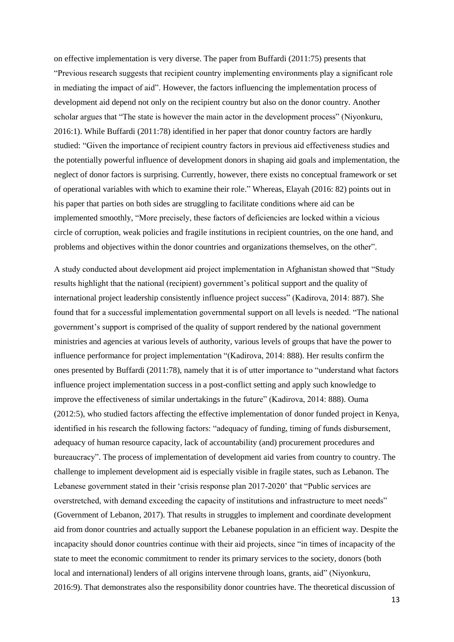on effective implementation is very diverse. The paper from Buffardi (2011:75) presents that "Previous research suggests that recipient country implementing environments play a significant role in mediating the impact of aid". However, the factors influencing the implementation process of development aid depend not only on the recipient country but also on the donor country. Another scholar argues that "The state is however the main actor in the development process" (Niyonkuru, 2016:1). While Buffardi (2011:78) identified in her paper that donor country factors are hardly studied: "Given the importance of recipient country factors in previous aid effectiveness studies and the potentially powerful influence of development donors in shaping aid goals and implementation, the neglect of donor factors is surprising. Currently, however, there exists no conceptual framework or set of operational variables with which to examine their role." Whereas, Elayah (2016: 82) points out in his paper that parties on both sides are struggling to facilitate conditions where aid can be implemented smoothly, "More precisely, these factors of deficiencies are locked within a vicious circle of corruption, weak policies and fragile institutions in recipient countries, on the one hand, and problems and objectives within the donor countries and organizations themselves, on the other".

A study conducted about development aid project implementation in Afghanistan showed that "Study results highlight that the national (recipient) government's political support and the quality of international project leadership consistently influence project success" (Kadirova, 2014: 887). She found that for a successful implementation governmental support on all levels is needed. "The national government's support is comprised of the quality of support rendered by the national government ministries and agencies at various levels of authority, various levels of groups that have the power to influence performance for project implementation "(Kadirova, 2014: 888). Her results confirm the ones presented by Buffardi (2011:78), namely that it is of utter importance to "understand what factors influence project implementation success in a post-conflict setting and apply such knowledge to improve the effectiveness of similar undertakings in the future" (Kadirova, 2014: 888). Ouma (2012:5), who studied factors affecting the effective implementation of donor funded project in Kenya, identified in his research the following factors: "adequacy of funding, timing of funds disbursement, adequacy of human resource capacity, lack of accountability (and) procurement procedures and bureaucracy". The process of implementation of development aid varies from country to country. The challenge to implement development aid is especially visible in fragile states, such as Lebanon. The Lebanese government stated in their 'crisis response plan 2017-2020' that "Public services are overstretched, with demand exceeding the capacity of institutions and infrastructure to meet needs" (Government of Lebanon, 2017). That results in struggles to implement and coordinate development aid from donor countries and actually support the Lebanese population in an efficient way. Despite the incapacity should donor countries continue with their aid projects, since "in times of incapacity of the state to meet the economic commitment to render its primary services to the society, donors (both local and international) lenders of all origins intervene through loans, grants, aid" (Niyonkuru, 2016:9). That demonstrates also the responsibility donor countries have. The theoretical discussion of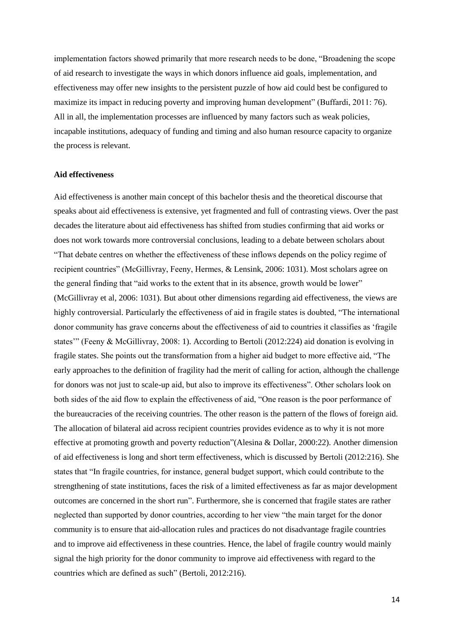implementation factors showed primarily that more research needs to be done, "Broadening the scope of aid research to investigate the ways in which donors influence aid goals, implementation, and effectiveness may offer new insights to the persistent puzzle of how aid could best be configured to maximize its impact in reducing poverty and improving human development" (Buffardi, 2011: 76). All in all, the implementation processes are influenced by many factors such as weak policies, incapable institutions, adequacy of funding and timing and also human resource capacity to organize the process is relevant.

#### **Aid effectiveness**

Aid effectiveness is another main concept of this bachelor thesis and the theoretical discourse that speaks about aid effectiveness is extensive, yet fragmented and full of contrasting views. Over the past decades the literature about aid effectiveness has shifted from studies confirming that aid works or does not work towards more controversial conclusions, leading to a debate between scholars about "That debate centres on whether the effectiveness of these inflows depends on the policy regime of recipient countries" (McGillivray, Feeny, Hermes, & Lensink, 2006: 1031). Most scholars agree on the general finding that "aid works to the extent that in its absence, growth would be lower" (McGillivray et al, 2006: 1031). But about other dimensions regarding aid effectiveness, the views are highly controversial. Particularly the effectiveness of aid in fragile states is doubted, "The international donor community has grave concerns about the effectiveness of aid to countries it classifies as 'fragile states'" (Feeny & McGillivray, 2008: 1). According to Bertoli (2012:224) aid donation is evolving in fragile states. She points out the transformation from a higher aid budget to more effective aid, "The early approaches to the definition of fragility had the merit of calling for action, although the challenge for donors was not just to scale-up aid, but also to improve its effectiveness". Other scholars look on both sides of the aid flow to explain the effectiveness of aid, "One reason is the poor performance of the bureaucracies of the receiving countries. The other reason is the pattern of the flows of foreign aid. The allocation of bilateral aid across recipient countries provides evidence as to why it is not more effective at promoting growth and poverty reduction"(Alesina & Dollar, 2000:22). Another dimension of aid effectiveness is long and short term effectiveness, which is discussed by Bertoli (2012:216). She states that "In fragile countries, for instance, general budget support, which could contribute to the strengthening of state institutions, faces the risk of a limited effectiveness as far as major development outcomes are concerned in the short run". Furthermore, she is concerned that fragile states are rather neglected than supported by donor countries, according to her view "the main target for the donor community is to ensure that aid-allocation rules and practices do not disadvantage fragile countries and to improve aid effectiveness in these countries. Hence, the label of fragile country would mainly signal the high priority for the donor community to improve aid effectiveness with regard to the countries which are defined as such" (Bertoli, 2012:216).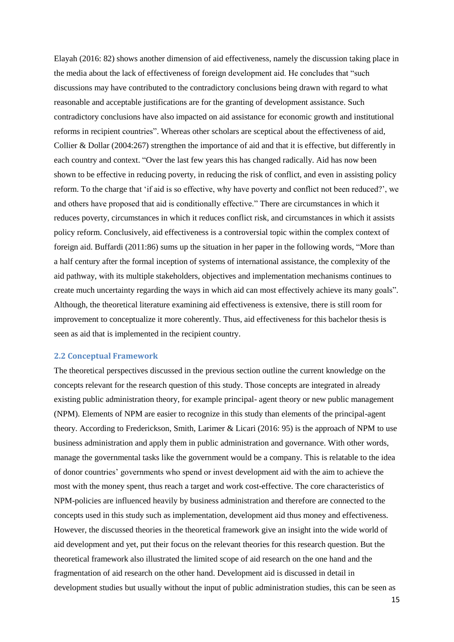Elayah (2016: 82) shows another dimension of aid effectiveness, namely the discussion taking place in the media about the lack of effectiveness of foreign development aid. He concludes that "such discussions may have contributed to the contradictory conclusions being drawn with regard to what reasonable and acceptable justifications are for the granting of development assistance. Such contradictory conclusions have also impacted on aid assistance for economic growth and institutional reforms in recipient countries". Whereas other scholars are sceptical about the effectiveness of aid, Collier & Dollar (2004:267) strengthen the importance of aid and that it is effective, but differently in each country and context. "Over the last few years this has changed radically. Aid has now been shown to be effective in reducing poverty, in reducing the risk of conflict, and even in assisting policy reform. To the charge that 'if aid is so effective, why have poverty and conflict not been reduced?', we and others have proposed that aid is conditionally effective." There are circumstances in which it reduces poverty, circumstances in which it reduces conflict risk, and circumstances in which it assists policy reform. Conclusively, aid effectiveness is a controversial topic within the complex context of foreign aid. Buffardi (2011:86) sums up the situation in her paper in the following words, "More than a half century after the formal inception of systems of international assistance, the complexity of the aid pathway, with its multiple stakeholders, objectives and implementation mechanisms continues to create much uncertainty regarding the ways in which aid can most effectively achieve its many goals". Although, the theoretical literature examining aid effectiveness is extensive, there is still room for improvement to conceptualize it more coherently. Thus, aid effectiveness for this bachelor thesis is seen as aid that is implemented in the recipient country.

#### <span id="page-14-0"></span>**2.2 Conceptual Framework**

The theoretical perspectives discussed in the previous section outline the current knowledge on the concepts relevant for the research question of this study. Those concepts are integrated in already existing public administration theory, for example principal- agent theory or new public management (NPM). Elements of NPM are easier to recognize in this study than elements of the principal-agent theory. According to Frederickson, Smith, Larimer & Licari (2016: 95) is the approach of NPM to use business administration and apply them in public administration and governance. With other words, manage the governmental tasks like the government would be a company. This is relatable to the idea of donor countries' governments who spend or invest development aid with the aim to achieve the most with the money spent, thus reach a target and work cost-effective. The core characteristics of NPM-policies are influenced heavily by business administration and therefore are connected to the concepts used in this study such as implementation, development aid thus money and effectiveness. However, the discussed theories in the theoretical framework give an insight into the wide world of aid development and yet, put their focus on the relevant theories for this research question. But the theoretical framework also illustrated the limited scope of aid research on the one hand and the fragmentation of aid research on the other hand. Development aid is discussed in detail in development studies but usually without the input of public administration studies, this can be seen as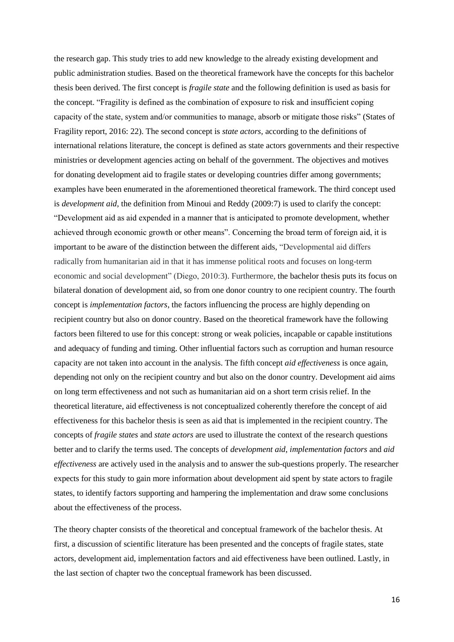the research gap. This study tries to add new knowledge to the already existing development and public administration studies. Based on the theoretical framework have the concepts for this bachelor thesis been derived. The first concept is *fragile state* and the following definition is used as basis for the concept. "Fragility is defined as the combination of exposure to risk and insufficient coping capacity of the state, system and/or communities to manage, absorb or mitigate those risks" (States of Fragility report, 2016: 22). The second concept is *state actors,* according to the definitions of international relations literature, the concept is defined as state actors governments and their respective ministries or development agencies acting on behalf of the government. The objectives and motives for donating development aid to fragile states or developing countries differ among governments; examples have been enumerated in the aforementioned theoretical framework. The third concept used is *development aid*, the definition from Minoui and Reddy (2009:7) is used to clarify the concept: "Development aid as aid expended in a manner that is anticipated to promote development, whether achieved through economic growth or other means". Concerning the broad term of foreign aid, it is important to be aware of the distinction between the different aids, "Developmental aid differs radically from humanitarian aid in that it has immense political roots and focuses on long-term economic and social development" (Diego, 2010:3). Furthermore, the bachelor thesis puts its focus on bilateral donation of development aid, so from one donor country to one recipient country. The fourth concept is *implementation factors*, the factors influencing the process are highly depending on recipient country but also on donor country. Based on the theoretical framework have the following factors been filtered to use for this concept: strong or weak policies, incapable or capable institutions and adequacy of funding and timing. Other influential factors such as corruption and human resource capacity are not taken into account in the analysis. The fifth concept *aid effectiveness* is once again, depending not only on the recipient country and but also on the donor country. Development aid aims on long term effectiveness and not such as humanitarian aid on a short term crisis relief. In the theoretical literature, aid effectiveness is not conceptualized coherently therefore the concept of aid effectiveness for this bachelor thesis is seen as aid that is implemented in the recipient country. The concepts of *fragile states* and *state actors* are used to illustrate the context of the research questions better and to clarify the terms used. The concepts of *development aid*, *implementation factors* and *aid effectiveness* are actively used in the analysis and to answer the sub-questions properly. The researcher expects for this study to gain more information about development aid spent by state actors to fragile states, to identify factors supporting and hampering the implementation and draw some conclusions about the effectiveness of the process.

The theory chapter consists of the theoretical and conceptual framework of the bachelor thesis. At first, a discussion of scientific literature has been presented and the concepts of fragile states, state actors, development aid, implementation factors and aid effectiveness have been outlined. Lastly, in the last section of chapter two the conceptual framework has been discussed.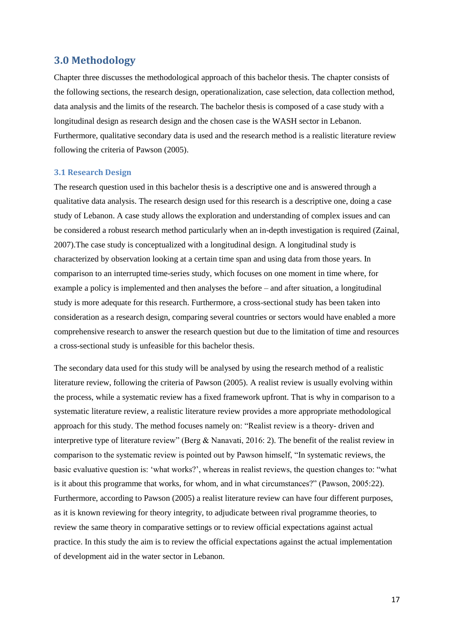## <span id="page-16-0"></span>**3.0 Methodology**

Chapter three discusses the methodological approach of this bachelor thesis. The chapter consists of the following sections, the research design, operationalization, case selection, data collection method, data analysis and the limits of the research. The bachelor thesis is composed of a case study with a longitudinal design as research design and the chosen case is the WASH sector in Lebanon. Furthermore, qualitative secondary data is used and the research method is a realistic literature review following the criteria of Pawson (2005).

#### <span id="page-16-1"></span>**3.1 Research Design**

The research question used in this bachelor thesis is a descriptive one and is answered through a qualitative data analysis. The research design used for this research is a descriptive one, doing a case study of Lebanon. A case study allows the exploration and understanding of complex issues and can be considered a robust research method particularly when an in-depth investigation is required (Zainal, 2007).The case study is conceptualized with a longitudinal design. A longitudinal study is characterized by observation looking at a certain time span and using data from those years. In comparison to an interrupted time-series study, which focuses on one moment in time where, for example a policy is implemented and then analyses the before – and after situation, a longitudinal study is more adequate for this research. Furthermore, a cross-sectional study has been taken into consideration as a research design, comparing several countries or sectors would have enabled a more comprehensive research to answer the research question but due to the limitation of time and resources a cross-sectional study is unfeasible for this bachelor thesis.

The secondary data used for this study will be analysed by using the research method of a realistic literature review, following the criteria of Pawson (2005). A realist review is usually evolving within the process, while a systematic review has a fixed framework upfront. That is why in comparison to a systematic literature review, a realistic literature review provides a more appropriate methodological approach for this study. The method focuses namely on: "Realist review is a theory- driven and interpretive type of literature review" (Berg & Nanavati, 2016: 2). The benefit of the realist review in comparison to the systematic review is pointed out by Pawson himself, "In systematic reviews, the basic evaluative question is: 'what works?', whereas in realist reviews, the question changes to: "what is it about this programme that works, for whom, and in what circumstances?" (Pawson, 2005:22). Furthermore, according to Pawson (2005) a realist literature review can have four different purposes, as it is known reviewing for theory integrity, to adjudicate between rival programme theories, to review the same theory in comparative settings or to review official expectations against actual practice. In this study the aim is to review the official expectations against the actual implementation of development aid in the water sector in Lebanon.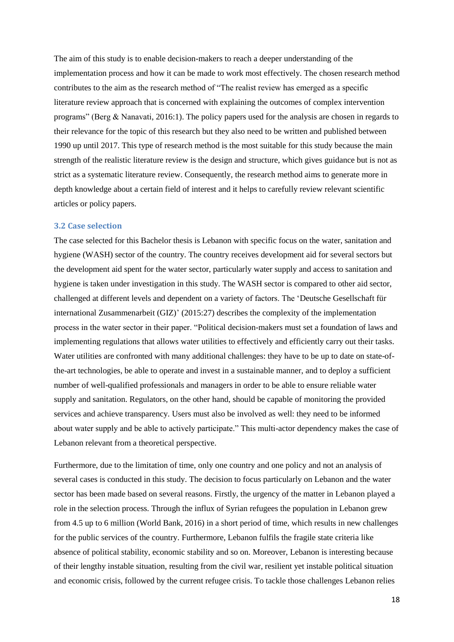The aim of this study is to enable decision-makers to reach a deeper understanding of the implementation process and how it can be made to work most effectively. The chosen research method contributes to the aim as the research method of "The realist review has emerged as a specific literature review approach that is concerned with explaining the outcomes of complex intervention programs" (Berg & Nanavati, 2016:1). The policy papers used for the analysis are chosen in regards to their relevance for the topic of this research but they also need to be written and published between 1990 up until 2017. This type of research method is the most suitable for this study because the main strength of the realistic literature review is the design and structure, which gives guidance but is not as strict as a systematic literature review. Consequently, the research method aims to generate more in depth knowledge about a certain field of interest and it helps to carefully review relevant scientific articles or policy papers.

#### <span id="page-17-0"></span>**3.2 Case selection**

The case selected for this Bachelor thesis is Lebanon with specific focus on the water, sanitation and hygiene (WASH) sector of the country. The country receives development aid for several sectors but the development aid spent for the water sector, particularly water supply and access to sanitation and hygiene is taken under investigation in this study. The WASH sector is compared to other aid sector, challenged at different levels and dependent on a variety of factors. The 'Deutsche Gesellschaft für international Zusammenarbeit (GIZ)' (2015:27) describes the complexity of the implementation process in the water sector in their paper. "Political decision-makers must set a foundation of laws and implementing regulations that allows water utilities to effectively and efficiently carry out their tasks. Water utilities are confronted with many additional challenges: they have to be up to date on state-ofthe-art technologies, be able to operate and invest in a sustainable manner, and to deploy a sufficient number of well-qualified professionals and managers in order to be able to ensure reliable water supply and sanitation. Regulators, on the other hand, should be capable of monitoring the provided services and achieve transparency. Users must also be involved as well: they need to be informed about water supply and be able to actively participate." This multi-actor dependency makes the case of Lebanon relevant from a theoretical perspective.

Furthermore, due to the limitation of time, only one country and one policy and not an analysis of several cases is conducted in this study. The decision to focus particularly on Lebanon and the water sector has been made based on several reasons. Firstly, the urgency of the matter in Lebanon played a role in the selection process. Through the influx of Syrian refugees the population in Lebanon grew from 4.5 up to 6 million (World Bank, 2016) in a short period of time, which results in new challenges for the public services of the country. Furthermore, Lebanon fulfils the fragile state criteria like absence of political stability, economic stability and so on. Moreover, Lebanon is interesting because of their lengthy instable situation, resulting from the civil war, resilient yet instable political situation and economic crisis, followed by the current refugee crisis. To tackle those challenges Lebanon relies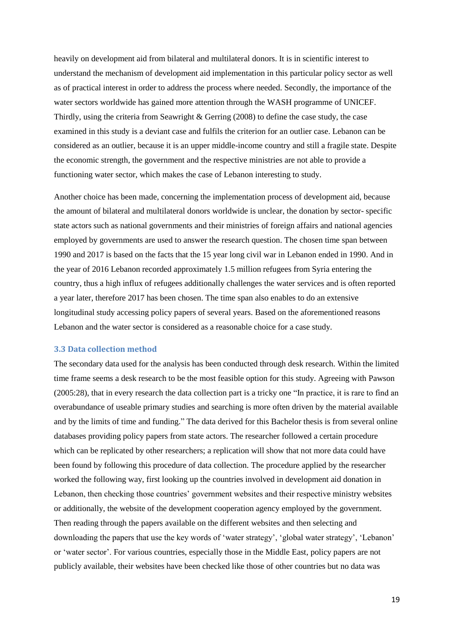heavily on development aid from bilateral and multilateral donors. It is in scientific interest to understand the mechanism of development aid implementation in this particular policy sector as well as of practical interest in order to address the process where needed. Secondly, the importance of the water sectors worldwide has gained more attention through the WASH programme of UNICEF. Thirdly, using the criteria from Seawright & Gerring (2008) to define the case study, the case examined in this study is a deviant case and fulfils the criterion for an outlier case. Lebanon can be considered as an outlier, because it is an upper middle-income country and still a fragile state. Despite the economic strength, the government and the respective ministries are not able to provide a functioning water sector, which makes the case of Lebanon interesting to study.

Another choice has been made, concerning the implementation process of development aid, because the amount of bilateral and multilateral donors worldwide is unclear, the donation by sector- specific state actors such as national governments and their ministries of foreign affairs and national agencies employed by governments are used to answer the research question. The chosen time span between 1990 and 2017 is based on the facts that the 15 year long civil war in Lebanon ended in 1990. And in the year of 2016 Lebanon recorded approximately 1.5 million refugees from Syria entering the country, thus a high influx of refugees additionally challenges the water services and is often reported a year later, therefore 2017 has been chosen. The time span also enables to do an extensive longitudinal study accessing policy papers of several years. Based on the aforementioned reasons Lebanon and the water sector is considered as a reasonable choice for a case study.

#### <span id="page-18-0"></span>**3.3 Data collection method**

The secondary data used for the analysis has been conducted through desk research. Within the limited time frame seems a desk research to be the most feasible option for this study. Agreeing with Pawson (2005:28), that in every research the data collection part is a tricky one "In practice, it is rare to find an overabundance of useable primary studies and searching is more often driven by the material available and by the limits of time and funding." The data derived for this Bachelor thesis is from several online databases providing policy papers from state actors. The researcher followed a certain procedure which can be replicated by other researchers; a replication will show that not more data could have been found by following this procedure of data collection. The procedure applied by the researcher worked the following way, first looking up the countries involved in development aid donation in Lebanon, then checking those countries' government websites and their respective ministry websites or additionally, the website of the development cooperation agency employed by the government. Then reading through the papers available on the different websites and then selecting and downloading the papers that use the key words of 'water strategy', 'global water strategy', 'Lebanon' or 'water sector'. For various countries, especially those in the Middle East, policy papers are not publicly available, their websites have been checked like those of other countries but no data was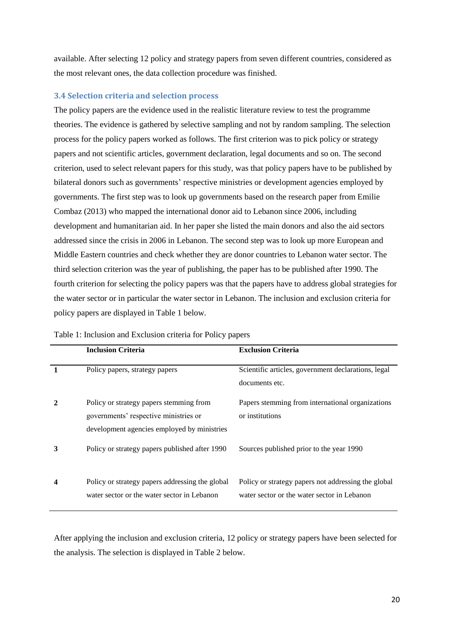available. After selecting 12 policy and strategy papers from seven different countries, considered as the most relevant ones, the data collection procedure was finished.

#### <span id="page-19-0"></span>**3.4 Selection criteria and selection process**

The policy papers are the evidence used in the realistic literature review to test the programme theories. The evidence is gathered by selective sampling and not by random sampling. The selection process for the policy papers worked as follows. The first criterion was to pick policy or strategy papers and not scientific articles, government declaration, legal documents and so on. The second criterion, used to select relevant papers for this study, was that policy papers have to be published by bilateral donors such as governments' respective ministries or development agencies employed by governments. The first step was to look up governments based on the research paper from Emilie Combaz (2013) who mapped the international donor aid to Lebanon since 2006, including development and humanitarian aid. In her paper she listed the main donors and also the aid sectors addressed since the crisis in 2006 in Lebanon. The second step was to look up more European and Middle Eastern countries and check whether they are donor countries to Lebanon water sector. The third selection criterion was the year of publishing, the paper has to be published after 1990. The fourth criterion for selecting the policy papers was that the papers have to address global strategies for the water sector or in particular the water sector in Lebanon. The inclusion and exclusion criteria for policy papers are displayed in Table 1 below.

|   | <b>Inclusion Criteria</b>                                                                                                       | <b>Exclusion Criteria</b>                                                                          |
|---|---------------------------------------------------------------------------------------------------------------------------------|----------------------------------------------------------------------------------------------------|
|   | Policy papers, strategy papers                                                                                                  | Scientific articles, government declarations, legal<br>documents etc.                              |
|   | Policy or strategy papers stemming from<br>governments' respective ministries or<br>development agencies employed by ministries | Papers stemming from international organizations<br>or institutions                                |
| 3 | Policy or strategy papers published after 1990                                                                                  | Sources published prior to the year 1990                                                           |
|   | Policy or strategy papers addressing the global<br>water sector or the water sector in Lebanon                                  | Policy or strategy papers not addressing the global<br>water sector or the water sector in Lebanon |

| Table 1: Inclusion and Exclusion criteria for Policy papers |  |  |  |
|-------------------------------------------------------------|--|--|--|
|-------------------------------------------------------------|--|--|--|

After applying the inclusion and exclusion criteria, 12 policy or strategy papers have been selected for the analysis. The selection is displayed in Table 2 below.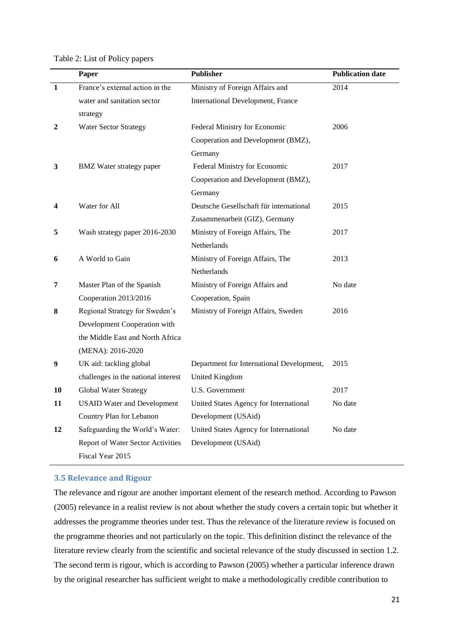Table 2: List of Policy papers

|              | Paper                               | <b>Publisher</b>                          | <b>Publication date</b> |
|--------------|-------------------------------------|-------------------------------------------|-------------------------|
| $\mathbf{1}$ | France's external action in the     | Ministry of Foreign Affairs and           | 2014                    |
|              | water and sanitation sector         | International Development, France         |                         |
|              | strategy                            |                                           |                         |
| 2            | <b>Water Sector Strategy</b>        | Federal Ministry for Economic             | 2006                    |
|              |                                     | Cooperation and Development (BMZ),        |                         |
|              |                                     | Germany                                   |                         |
| 3            | <b>BMZ</b> Water strategy paper     | Federal Ministry for Economic             | 2017                    |
|              |                                     | Cooperation and Development (BMZ),        |                         |
|              |                                     | Germany                                   |                         |
| 4            | Water for All                       | Deutsche Gesellschaft für international   | 2015                    |
|              |                                     | Zusammenarbeit (GIZ), Germany             |                         |
| 5            | Wash strategy paper 2016-2030       | Ministry of Foreign Affairs, The          | 2017                    |
|              |                                     | Netherlands                               |                         |
| 6            | A World to Gain                     | Ministry of Foreign Affairs, The          | 2013                    |
|              |                                     | Netherlands                               |                         |
| 7            | Master Plan of the Spanish          | Ministry of Foreign Affairs and           | No date                 |
|              | Cooperation 2013/2016               | Cooperation, Spain                        |                         |
| 8            | Regional Strategy for Sweden's      | Ministry of Foreign Affairs, Sweden       | 2016                    |
|              | Development Cooperation with        |                                           |                         |
|              | the Middle East and North Africa    |                                           |                         |
|              | (MENA): 2016-2020                   |                                           |                         |
| 9            | UK aid: tackling global             | Department for International Development, | 2015                    |
|              | challenges in the national interest | United Kingdom                            |                         |
| 10           | <b>Global Water Strategy</b>        | U.S. Government                           | 2017                    |
| 11           | <b>USAID Water and Development</b>  | United States Agency for International    | No date                 |
|              | Country Plan for Lebanon            | Development (USAid)                       |                         |
| 12           | Safeguarding the World's Water:     | United States Agency for International    | No date                 |
|              | Report of Water Sector Activities   | Development (USAid)                       |                         |
|              | Fiscal Year 2015                    |                                           |                         |

#### <span id="page-20-0"></span>**3.5 Relevance and Rigour**

The relevance and rigour are another important element of the research method. According to Pawson (2005) relevance in a realist review is not about whether the study covers a certain topic but whether it addresses the programme theories under test. Thus the relevance of the literature review is focused on the programme theories and not particularly on the topic. This definition distinct the relevance of the literature review clearly from the scientific and societal relevance of the study discussed in section 1.2. The second term is rigour, which is according to Pawson (2005) whether a particular inference drawn by the original researcher has sufficient weight to make a methodologically credible contribution to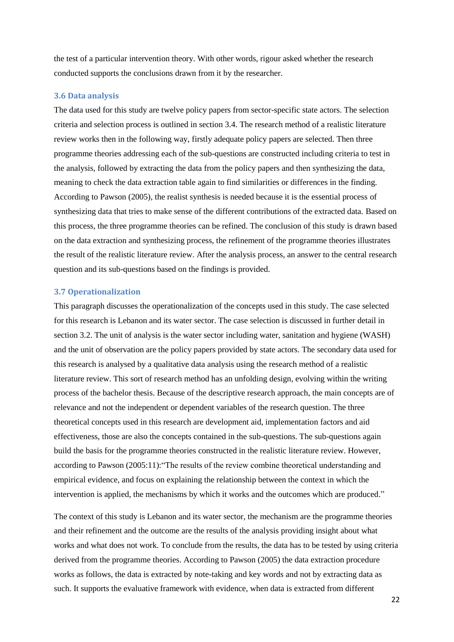the test of a particular intervention theory. With other words, rigour asked whether the research conducted supports the conclusions drawn from it by the researcher.

#### <span id="page-21-0"></span>**3.6 Data analysis**

The data used for this study are twelve policy papers from sector-specific state actors. The selection criteria and selection process is outlined in section 3.4. The research method of a realistic literature review works then in the following way, firstly adequate policy papers are selected. Then three programme theories addressing each of the sub-questions are constructed including criteria to test in the analysis, followed by extracting the data from the policy papers and then synthesizing the data, meaning to check the data extraction table again to find similarities or differences in the finding. According to Pawson (2005), the realist synthesis is needed because it is the essential process of synthesizing data that tries to make sense of the different contributions of the extracted data. Based on this process, the three programme theories can be refined. The conclusion of this study is drawn based on the data extraction and synthesizing process, the refinement of the programme theories illustrates the result of the realistic literature review. After the analysis process, an answer to the central research question and its sub-questions based on the findings is provided.

#### <span id="page-21-1"></span>**3.7 Operationalization**

This paragraph discusses the operationalization of the concepts used in this study. The case selected for this research is Lebanon and its water sector. The case selection is discussed in further detail in section 3.2. The unit of analysis is the water sector including water, sanitation and hygiene (WASH) and the unit of observation are the policy papers provided by state actors. The secondary data used for this research is analysed by a qualitative data analysis using the research method of a realistic literature review. This sort of research method has an unfolding design, evolving within the writing process of the bachelor thesis. Because of the descriptive research approach, the main concepts are of relevance and not the independent or dependent variables of the research question. The three theoretical concepts used in this research are development aid, implementation factors and aid effectiveness, those are also the concepts contained in the sub-questions. The sub-questions again build the basis for the programme theories constructed in the realistic literature review. However, according to Pawson (2005:11):"The results of the review combine theoretical understanding and empirical evidence, and focus on explaining the relationship between the context in which the intervention is applied, the mechanisms by which it works and the outcomes which are produced."

The context of this study is Lebanon and its water sector, the mechanism are the programme theories and their refinement and the outcome are the results of the analysis providing insight about what works and what does not work. To conclude from the results, the data has to be tested by using criteria derived from the programme theories. According to Pawson (2005) the data extraction procedure works as follows, the data is extracted by note-taking and key words and not by extracting data as such. It supports the evaluative framework with evidence, when data is extracted from different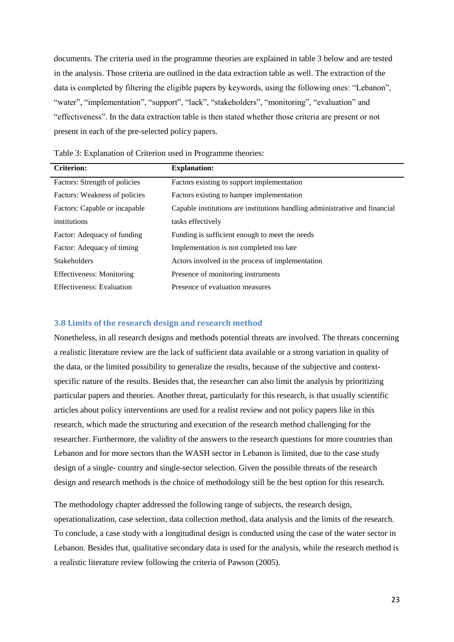documents. The criteria used in the programme theories are explained in table 3 below and are tested in the analysis. Those criteria are outlined in the data extraction table as well. The extraction of the data is completed by filtering the eligible papers by keywords, using the following ones: "Lebanon", "water", "implementation", "support", "lack", "stakeholders", "monitoring", "evaluation" and "effectiveness". In the data extraction table is then stated whether those criteria are present or not present in each of the pre-selected policy papers.

| <b>Criterion:</b>                | <b>Explanation:</b>                                                         |
|----------------------------------|-----------------------------------------------------------------------------|
| Factors: Strength of policies    | Factors existing to support implementation                                  |
| Factors: Weakness of policies    | Factors existing to hamper implementation                                   |
| Factors: Capable or incapable    | Capable institutions are institutions handling administrative and financial |
| institutions                     | tasks effectively                                                           |
| Factor: Adequacy of funding      | Funding is sufficient enough to meet the needs                              |
| Factor: Adequacy of timing       | Implementation is not completed too late                                    |
| <b>Stakeholders</b>              | Actors involved in the process of implementation                            |
| Effectiveness: Monitoring        | Presence of monitoring instruments                                          |
| <b>Effectiveness:</b> Evaluation | Presence of evaluation measures                                             |

Table 3: Explanation of Criterion used in Programme theories:

#### <span id="page-22-0"></span>**3.8 Limits of the research design and research method**

Nonetheless, in all research designs and methods potential threats are involved. The threats concerning a realistic literature review are the lack of sufficient data available or a strong variation in quality of the data, or the limited possibility to generalize the results, because of the subjective and contextspecific nature of the results. Besides that, the researcher can also limit the analysis by prioritizing particular papers and theories. Another threat, particularly for this research, is that usually scientific articles about policy interventions are used for a realist review and not policy papers like in this research, which made the structuring and execution of the research method challenging for the researcher. Furthermore, the validity of the answers to the research questions for more countries than Lebanon and for more sectors than the WASH sector in Lebanon is limited, due to the case study design of a single- country and single-sector selection. Given the possible threats of the research design and research methods is the choice of methodology still be the best option for this research.

The methodology chapter addressed the following range of subjects, the research design, operationalization, case selection, data collection method, data analysis and the limits of the research. To conclude, a case study with a longitudinal design is conducted using the case of the water sector in Lebanon. Besides that, qualitative secondary data is used for the analysis, while the research method is a realistic literature review following the criteria of Pawson (2005).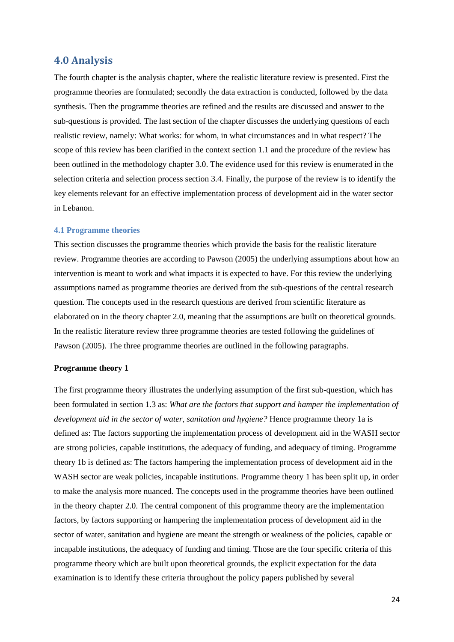# <span id="page-23-0"></span>**4.0 Analysis**

The fourth chapter is the analysis chapter, where the realistic literature review is presented. First the programme theories are formulated; secondly the data extraction is conducted, followed by the data synthesis. Then the programme theories are refined and the results are discussed and answer to the sub-questions is provided. The last section of the chapter discusses the underlying questions of each realistic review, namely: What works: for whom, in what circumstances and in what respect? The scope of this review has been clarified in the context section 1.1 and the procedure of the review has been outlined in the methodology chapter 3.0. The evidence used for this review is enumerated in the selection criteria and selection process section 3.4. Finally, the purpose of the review is to identify the key elements relevant for an effective implementation process of development aid in the water sector in Lebanon.

#### <span id="page-23-1"></span>**4.1 Programme theories**

This section discusses the programme theories which provide the basis for the realistic literature review. Programme theories are according to Pawson (2005) the underlying assumptions about how an intervention is meant to work and what impacts it is expected to have. For this review the underlying assumptions named as programme theories are derived from the sub-questions of the central research question. The concepts used in the research questions are derived from scientific literature as elaborated on in the theory chapter 2.0, meaning that the assumptions are built on theoretical grounds. In the realistic literature review three programme theories are tested following the guidelines of Pawson (2005). The three programme theories are outlined in the following paragraphs.

#### **Programme theory 1**

The first programme theory illustrates the underlying assumption of the first sub-question, which has been formulated in section 1.3 as: *What are the factors that support and hamper the implementation of development aid in the sector of water, sanitation and hygiene?* Hence programme theory 1a is defined as: The factors supporting the implementation process of development aid in the WASH sector are strong policies, capable institutions, the adequacy of funding, and adequacy of timing. Programme theory 1b is defined as: The factors hampering the implementation process of development aid in the WASH sector are weak policies, incapable institutions. Programme theory 1 has been split up, in order to make the analysis more nuanced. The concepts used in the programme theories have been outlined in the theory chapter 2.0. The central component of this programme theory are the implementation factors, by factors supporting or hampering the implementation process of development aid in the sector of water, sanitation and hygiene are meant the strength or weakness of the policies, capable or incapable institutions, the adequacy of funding and timing. Those are the four specific criteria of this programme theory which are built upon theoretical grounds, the explicit expectation for the data examination is to identify these criteria throughout the policy papers published by several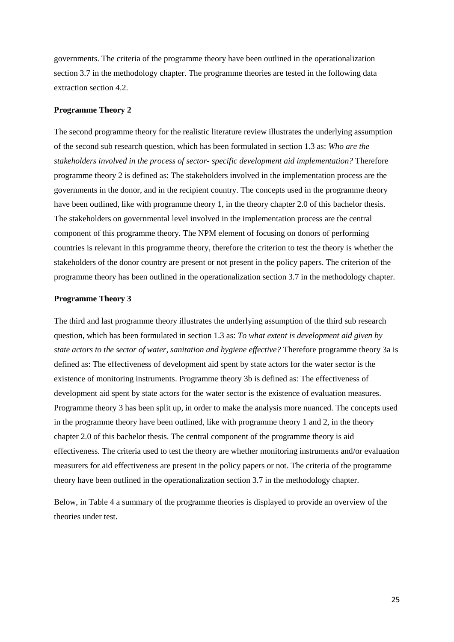governments. The criteria of the programme theory have been outlined in the operationalization section 3.7 in the methodology chapter. The programme theories are tested in the following data extraction section 4.2.

#### **Programme Theory 2**

The second programme theory for the realistic literature review illustrates the underlying assumption of the second sub research question, which has been formulated in section 1.3 as: *Who are the stakeholders involved in the process of sector- specific development aid implementation?* Therefore programme theory 2 is defined as: The stakeholders involved in the implementation process are the governments in the donor, and in the recipient country. The concepts used in the programme theory have been outlined, like with programme theory 1, in the theory chapter 2.0 of this bachelor thesis. The stakeholders on governmental level involved in the implementation process are the central component of this programme theory. The NPM element of focusing on donors of performing countries is relevant in this programme theory, therefore the criterion to test the theory is whether the stakeholders of the donor country are present or not present in the policy papers. The criterion of the programme theory has been outlined in the operationalization section 3.7 in the methodology chapter.

#### **Programme Theory 3**

The third and last programme theory illustrates the underlying assumption of the third sub research question, which has been formulated in section 1.3 as: *To what extent is development aid given by state actors to the sector of water, sanitation and hygiene effective?* Therefore programme theory 3a is defined as: The effectiveness of development aid spent by state actors for the water sector is the existence of monitoring instruments. Programme theory 3b is defined as: The effectiveness of development aid spent by state actors for the water sector is the existence of evaluation measures. Programme theory 3 has been split up, in order to make the analysis more nuanced. The concepts used in the programme theory have been outlined, like with programme theory 1 and 2, in the theory chapter 2.0 of this bachelor thesis. The central component of the programme theory is aid effectiveness. The criteria used to test the theory are whether monitoring instruments and/or evaluation measurers for aid effectiveness are present in the policy papers or not. The criteria of the programme theory have been outlined in the operationalization section 3.7 in the methodology chapter.

Below, in Table 4 a summary of the programme theories is displayed to provide an overview of the theories under test.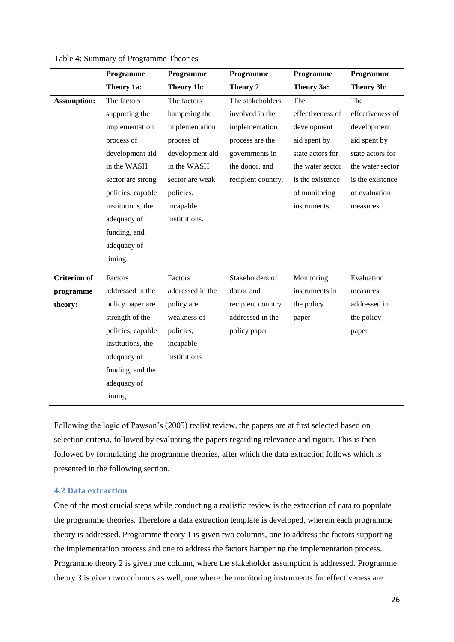|                     | Programme         | Programme        | Programme          | Programme        | Programme        |
|---------------------|-------------------|------------------|--------------------|------------------|------------------|
|                     | Theory 1a:        | Theory 1b:       | Theory 2           | Theory 3a:       | Theory 3b:       |
| <b>Assumption:</b>  | The factors       | The factors      | The stakeholders   | The              | The              |
|                     | supporting the    | hampering the    | involved in the    | effectiveness of | effectiveness of |
|                     | implementation    | implementation   | implementation     | development      | development      |
|                     | process of        | process of       | process are the    | aid spent by     | aid spent by     |
|                     | development aid   | development aid  | governments in     | state actors for | state actors for |
|                     | in the WASH       | in the WASH      | the donor, and     | the water sector | the water sector |
|                     | sector are strong | sector are weak  | recipient country. | is the existence | is the existence |
|                     | policies, capable | policies,        |                    | of monitoring    | of evaluation    |
|                     | institutions, the | incapable        |                    | instruments.     | measures.        |
|                     | adequacy of       | institutions.    |                    |                  |                  |
|                     | funding, and      |                  |                    |                  |                  |
|                     | adequacy of       |                  |                    |                  |                  |
|                     | timing.           |                  |                    |                  |                  |
| <b>Criterion</b> of | Factors           | Factors          | Stakeholders of    | Monitoring       | Evaluation       |
| programme           | addressed in the  | addressed in the | donor and          | instruments in   | measures         |
| theory:             | policy paper are  | policy are       | recipient country  | the policy       | addressed in     |
|                     | strength of the   | weakness of      | addressed in the   | paper            | the policy       |
|                     | policies, capable | policies,        | policy paper       |                  | paper            |
|                     | institutions, the | incapable        |                    |                  |                  |
|                     | adequacy of       | institutions     |                    |                  |                  |
|                     | funding, and the  |                  |                    |                  |                  |
|                     | adequacy of       |                  |                    |                  |                  |
|                     | timing            |                  |                    |                  |                  |
|                     |                   |                  |                    |                  |                  |

Table 4: Summary of Programme Theories

Following the logic of Pawson's (2005) realist review, the papers are at first selected based on selection criteria, followed by evaluating the papers regarding relevance and rigour. This is then followed by formulating the programme theories, after which the data extraction follows which is presented in the following section.

#### <span id="page-25-0"></span>**4.2 Data extraction**

One of the most crucial steps while conducting a realistic review is the extraction of data to populate the programme theories. Therefore a data extraction template is developed, wherein each programme theory is addressed. Programme theory 1 is given two columns, one to address the factors supporting the implementation process and one to address the factors hampering the implementation process. Programme theory 2 is given one column, where the stakeholder assumption is addressed. Programme theory 3 is given two columns as well, one where the monitoring instruments for effectiveness are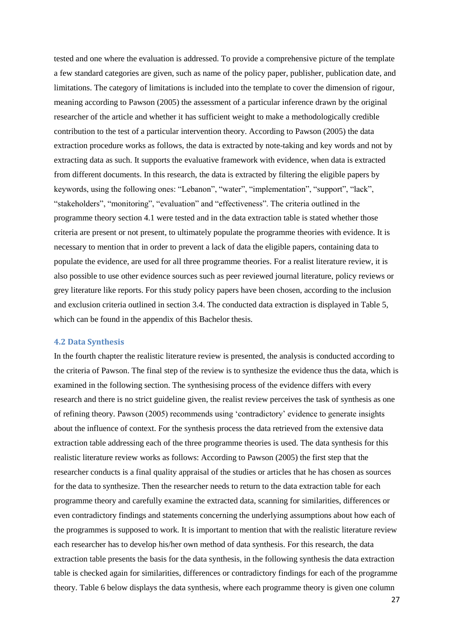tested and one where the evaluation is addressed. To provide a comprehensive picture of the template a few standard categories are given, such as name of the policy paper, publisher, publication date, and limitations. The category of limitations is included into the template to cover the dimension of rigour, meaning according to Pawson (2005) the assessment of a particular inference drawn by the original researcher of the article and whether it has sufficient weight to make a methodologically credible contribution to the test of a particular intervention theory. According to Pawson (2005) the data extraction procedure works as follows, the data is extracted by note-taking and key words and not by extracting data as such. It supports the evaluative framework with evidence, when data is extracted from different documents. In this research, the data is extracted by filtering the eligible papers by keywords, using the following ones: "Lebanon", "water", "implementation", "support", "lack", "stakeholders", "monitoring", "evaluation" and "effectiveness". The criteria outlined in the programme theory section 4.1 were tested and in the data extraction table is stated whether those criteria are present or not present, to ultimately populate the programme theories with evidence. It is necessary to mention that in order to prevent a lack of data the eligible papers, containing data to populate the evidence, are used for all three programme theories. For a realist literature review, it is also possible to use other evidence sources such as peer reviewed journal literature, policy reviews or grey literature like reports. For this study policy papers have been chosen, according to the inclusion and exclusion criteria outlined in section 3.4. The conducted data extraction is displayed in Table 5, which can be found in the appendix of this Bachelor thesis.

#### <span id="page-26-0"></span>**4.2 Data Synthesis**

In the fourth chapter the realistic literature review is presented, the analysis is conducted according to the criteria of Pawson. The final step of the review is to synthesize the evidence thus the data, which is examined in the following section. The synthesising process of the evidence differs with every research and there is no strict guideline given, the realist review perceives the task of synthesis as one of refining theory. Pawson (2005) recommends using 'contradictory' evidence to generate insights about the influence of context. For the synthesis process the data retrieved from the extensive data extraction table addressing each of the three programme theories is used. The data synthesis for this realistic literature review works as follows: According to Pawson (2005) the first step that the researcher conducts is a final quality appraisal of the studies or articles that he has chosen as sources for the data to synthesize. Then the researcher needs to return to the data extraction table for each programme theory and carefully examine the extracted data, scanning for similarities, differences or even contradictory findings and statements concerning the underlying assumptions about how each of the programmes is supposed to work. It is important to mention that with the realistic literature review each researcher has to develop his/her own method of data synthesis. For this research, the data extraction table presents the basis for the data synthesis, in the following synthesis the data extraction table is checked again for similarities, differences or contradictory findings for each of the programme theory. Table 6 below displays the data synthesis, where each programme theory is given one column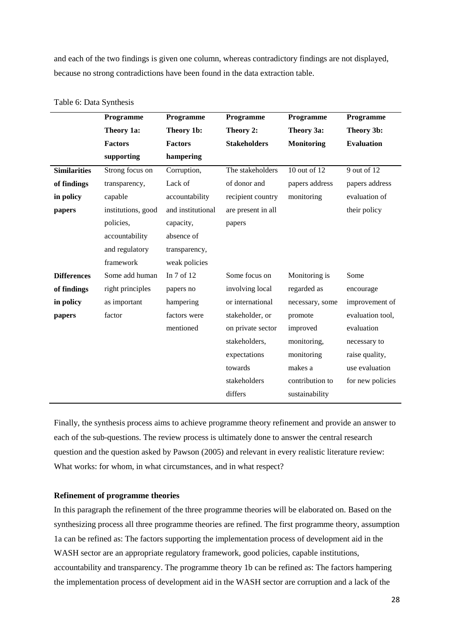and each of the two findings is given one column, whereas contradictory findings are not displayed, because no strong contradictions have been found in the data extraction table.

|                     | Programme          | Programme         | Programme           | Programme         | Programme         |
|---------------------|--------------------|-------------------|---------------------|-------------------|-------------------|
|                     | Theory 1a:         | Theory 1b:        | Theory 2:           | Theory 3a:        | Theory 3b:        |
|                     | <b>Factors</b>     | <b>Factors</b>    | <b>Stakeholders</b> | <b>Monitoring</b> | <b>Evaluation</b> |
|                     | supporting         | hampering         |                     |                   |                   |
| <b>Similarities</b> | Strong focus on    | Corruption,       | The stakeholders    | 10 out of 12      | 9 out of 12       |
| of findings         | transparency,      | Lack of           | of donor and        | papers address    | papers address    |
| in policy           | capable            | accountability    | recipient country   | monitoring        | evaluation of     |
| papers              | institutions, good | and institutional | are present in all  |                   | their policy      |
|                     | policies,          | capacity,         | papers              |                   |                   |
|                     | accountability     | absence of        |                     |                   |                   |
|                     | and regulatory     | transparency,     |                     |                   |                   |
|                     | framework          | weak policies     |                     |                   |                   |
| <b>Differences</b>  | Some add human     | In 7 of 12        | Some focus on       | Monitoring is     | Some              |
| of findings         | right principles   | papers no         | involving local     | regarded as       | encourage         |
| in policy           | as important       | hampering         | or international    | necessary, some   | improvement of    |
| papers              | factor             | factors were      | stakeholder, or     | promote           | evaluation tool,  |
|                     |                    | mentioned         | on private sector   | improved          | evaluation        |
|                     |                    |                   | stakeholders,       | monitoring,       | necessary to      |
|                     |                    |                   | expectations        | monitoring        | raise quality,    |
|                     |                    |                   | towards             | makes a           | use evaluation    |
|                     |                    |                   | stakeholders        | contribution to   | for new policies  |
|                     |                    |                   | differs             | sustainability    |                   |

|  |  | Table 6: Data Synthesis |
|--|--|-------------------------|
|--|--|-------------------------|

Finally, the synthesis process aims to achieve programme theory refinement and provide an answer to each of the sub-questions. The review process is ultimately done to answer the central research question and the question asked by Pawson (2005) and relevant in every realistic literature review: What works: for whom, in what circumstances, and in what respect?

#### **Refinement of programme theories**

In this paragraph the refinement of the three programme theories will be elaborated on. Based on the synthesizing process all three programme theories are refined. The first programme theory, assumption 1a can be refined as: The factors supporting the implementation process of development aid in the WASH sector are an appropriate regulatory framework, good policies, capable institutions, accountability and transparency. The programme theory 1b can be refined as: The factors hampering the implementation process of development aid in the WASH sector are corruption and a lack of the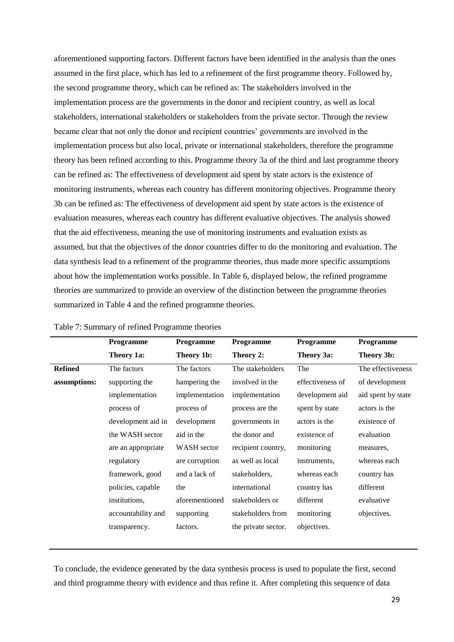aforementioned supporting factors. Different factors have been identified in the analysis than the ones assumed in the first place, which has led to a refinement of the first programme theory. Followed by, the second programme theory, which can be refined as: The stakeholders involved in the implementation process are the governments in the donor and recipient country, as well as local stakeholders, international stakeholders or stakeholders from the private sector. Through the review became clear that not only the donor and recipient countries' governments are involved in the implementation process but also local, private or international stakeholders, therefore the programme theory has been refined according to this. Programme theory 3a of the third and last programme theory can be refined as: The effectiveness of development aid spent by state actors is the existence of monitoring instruments, whereas each country has different monitoring objectives. Programme theory 3b can be refined as: The effectiveness of development aid spent by state actors is the existence of evaluation measures, whereas each country has different evaluative objectives. The analysis showed that the aid effectiveness, meaning the use of monitoring instruments and evaluation exists as assumed, but that the objectives of the donor countries differ to do the monitoring and evaluation. The data synthesis lead to a refinement of the programme theories, thus made more specific assumptions about how the implementation works possible. In Table 6, displayed below, the refined programme theories are summarized to provide an overview of the distinction between the programme theories summarized in Table 4 and the refined programme theories.

|                | Programme          | Programme          | Programme           | Programme        | Programme          |
|----------------|--------------------|--------------------|---------------------|------------------|--------------------|
|                | Theory 1a:         | Theory 1b:         | Theory 2:           | Theory 3a:       | Theory 3b:         |
| <b>Refined</b> | The factors        | The factors        | The stakeholders    | The              | The effectiveness  |
| assumptions:   | supporting the     | hampering the      | involved in the     | effectiveness of | of development     |
|                | implementation     | implementation     | implementation      | development aid  | aid spent by state |
|                | process of         | process of         | process are the     | spent by state   | actors is the      |
|                | development aid in | development        | governments in      | actors is the    | existence of       |
|                | the WASH sector    | aid in the         | the donor and       | existence of     | evaluation         |
|                | are an appropriate | <b>WASH</b> sector | recipient country,  | monitoring       | measures,          |
|                | regulatory         | are corruption     | as well as local    | instruments,     | whereas each       |
|                | framework, good    | and a lack of      | stakeholders,       | whereas each     | country has        |
|                | policies, capable  | the                | international       | country has      | different          |
|                | institutions,      | aforementioned     | stakeholders or     | different        | evaluative         |
|                | accountability and | supporting         | stakeholders from   | monitoring       | objectives.        |
|                | transparency.      | factors.           | the private sector. | objectives.      |                    |
|                |                    |                    |                     |                  |                    |

| Table 7: Summary of refined Programme theories |
|------------------------------------------------|
|------------------------------------------------|

To conclude, the evidence generated by the data synthesis process is used to populate the first, second and third programme theory with evidence and thus refine it. After completing this sequence of data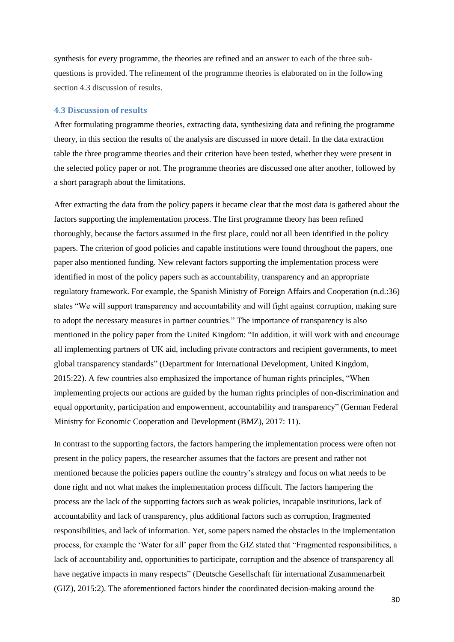synthesis for every programme, the theories are refined and an answer to each of the three subquestions is provided. The refinement of the programme theories is elaborated on in the following section 4.3 discussion of results.

#### <span id="page-29-0"></span>**4.3 Discussion of results**

After formulating programme theories, extracting data, synthesizing data and refining the programme theory, in this section the results of the analysis are discussed in more detail. In the data extraction table the three programme theories and their criterion have been tested, whether they were present in the selected policy paper or not. The programme theories are discussed one after another, followed by a short paragraph about the limitations.

After extracting the data from the policy papers it became clear that the most data is gathered about the factors supporting the implementation process. The first programme theory has been refined thoroughly, because the factors assumed in the first place, could not all been identified in the policy papers. The criterion of good policies and capable institutions were found throughout the papers, one paper also mentioned funding. New relevant factors supporting the implementation process were identified in most of the policy papers such as accountability, transparency and an appropriate regulatory framework. For example, the Spanish Ministry of Foreign Affairs and Cooperation (n.d.:36) states "We will support transparency and accountability and will fight against corruption, making sure to adopt the necessary measures in partner countries." The importance of transparency is also mentioned in the policy paper from the United Kingdom: "In addition, it will work with and encourage all implementing partners of UK aid, including private contractors and recipient governments, to meet global transparency standards" (Department for International Development, United Kingdom, 2015:22). A few countries also emphasized the importance of human rights principles, "When implementing projects our actions are guided by the human rights principles of non-discrimination and equal opportunity, participation and empowerment, accountability and transparency" (German Federal Ministry for Economic Cooperation and Development (BMZ), 2017: 11).

In contrast to the supporting factors, the factors hampering the implementation process were often not present in the policy papers, the researcher assumes that the factors are present and rather not mentioned because the policies papers outline the country's strategy and focus on what needs to be done right and not what makes the implementation process difficult. The factors hampering the process are the lack of the supporting factors such as weak policies, incapable institutions, lack of accountability and lack of transparency, plus additional factors such as corruption, fragmented responsibilities, and lack of information. Yet, some papers named the obstacles in the implementation process, for example the 'Water for all' paper from the GIZ stated that "Fragmented responsibilities, a lack of accountability and, opportunities to participate, corruption and the absence of transparency all have negative impacts in many respects" (Deutsche Gesellschaft für international Zusammenarbeit (GIZ), 2015:2). The aforementioned factors hinder the coordinated decision-making around the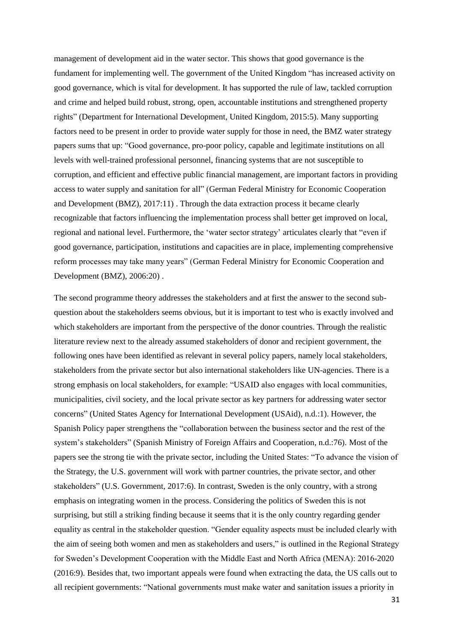management of development aid in the water sector. This shows that good governance is the fundament for implementing well. The government of the United Kingdom "has increased activity on good governance, which is vital for development. It has supported the rule of law, tackled corruption and crime and helped build robust, strong, open, accountable institutions and strengthened property rights" (Department for International Development, United Kingdom, 2015:5). Many supporting factors need to be present in order to provide water supply for those in need, the BMZ water strategy papers sums that up: "Good governance, pro-poor policy, capable and legitimate institutions on all levels with well-trained professional personnel, financing systems that are not susceptible to corruption, and efficient and effective public financial management, are important factors in providing access to water supply and sanitation for all" (German Federal Ministry for Economic Cooperation and Development (BMZ), 2017:11) . Through the data extraction process it became clearly recognizable that factors influencing the implementation process shall better get improved on local, regional and national level. Furthermore, the 'water sector strategy' articulates clearly that "even if good governance, participation, institutions and capacities are in place, implementing comprehensive reform processes may take many years" (German Federal Ministry for Economic Cooperation and Development (BMZ), 2006:20) .

The second programme theory addresses the stakeholders and at first the answer to the second subquestion about the stakeholders seems obvious, but it is important to test who is exactly involved and which stakeholders are important from the perspective of the donor countries. Through the realistic literature review next to the already assumed stakeholders of donor and recipient government, the following ones have been identified as relevant in several policy papers, namely local stakeholders, stakeholders from the private sector but also international stakeholders like UN-agencies. There is a strong emphasis on local stakeholders, for example: "USAID also engages with local communities, municipalities, civil society, and the local private sector as key partners for addressing water sector concerns" (United States Agency for International Development (USAid), n.d.:1). However, the Spanish Policy paper strengthens the "collaboration between the business sector and the rest of the system's stakeholders" (Spanish Ministry of Foreign Affairs and Cooperation, n.d.:76). Most of the papers see the strong tie with the private sector, including the United States: "To advance the vision of the Strategy, the U.S. government will work with partner countries, the private sector, and other stakeholders" (U.S. Government, 2017:6). In contrast, Sweden is the only country, with a strong emphasis on integrating women in the process. Considering the politics of Sweden this is not surprising, but still a striking finding because it seems that it is the only country regarding gender equality as central in the stakeholder question. "Gender equality aspects must be included clearly with the aim of seeing both women and men as stakeholders and users," is outlined in the Regional Strategy for Sweden's Development Cooperation with the Middle East and North Africa (MENA): 2016-2020 (2016:9). Besides that, two important appeals were found when extracting the data, the US calls out to all recipient governments: "National governments must make water and sanitation issues a priority in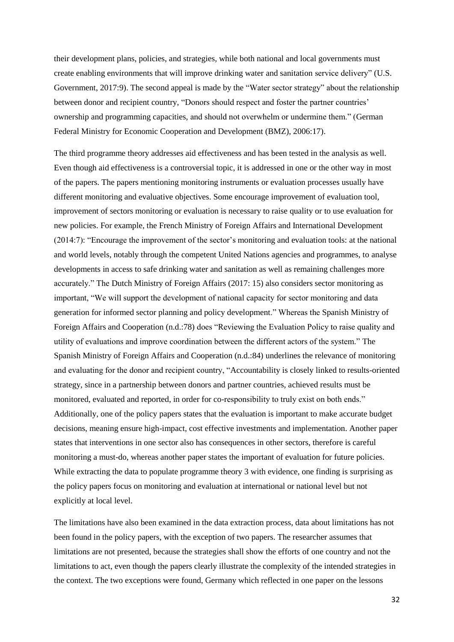their development plans, policies, and strategies, while both national and local governments must create enabling environments that will improve drinking water and sanitation service delivery" (U.S. Government, 2017:9). The second appeal is made by the "Water sector strategy" about the relationship between donor and recipient country, "Donors should respect and foster the partner countries' ownership and programming capacities, and should not overwhelm or undermine them." (German Federal Ministry for Economic Cooperation and Development (BMZ), 2006:17).

The third programme theory addresses aid effectiveness and has been tested in the analysis as well. Even though aid effectiveness is a controversial topic, it is addressed in one or the other way in most of the papers. The papers mentioning monitoring instruments or evaluation processes usually have different monitoring and evaluative objectives. Some encourage improvement of evaluation tool, improvement of sectors monitoring or evaluation is necessary to raise quality or to use evaluation for new policies. For example, the French Ministry of Foreign Affairs and International Development (2014:7): "Encourage the improvement of the sector's monitoring and evaluation tools: at the national and world levels, notably through the competent United Nations agencies and programmes, to analyse developments in access to safe drinking water and sanitation as well as remaining challenges more accurately." The Dutch Ministry of Foreign Affairs (2017: 15) also considers sector monitoring as important, "We will support the development of national capacity for sector monitoring and data generation for informed sector planning and policy development." Whereas the Spanish Ministry of Foreign Affairs and Cooperation (n.d.:78) does "Reviewing the Evaluation Policy to raise quality and utility of evaluations and improve coordination between the different actors of the system." The Spanish Ministry of Foreign Affairs and Cooperation (n.d.:84) underlines the relevance of monitoring and evaluating for the donor and recipient country, "Accountability is closely linked to results-oriented strategy, since in a partnership between donors and partner countries, achieved results must be monitored, evaluated and reported, in order for co-responsibility to truly exist on both ends." Additionally, one of the policy papers states that the evaluation is important to make accurate budget decisions, meaning ensure high-impact, cost effective investments and implementation. Another paper states that interventions in one sector also has consequences in other sectors, therefore is careful monitoring a must-do, whereas another paper states the important of evaluation for future policies. While extracting the data to populate programme theory 3 with evidence, one finding is surprising as the policy papers focus on monitoring and evaluation at international or national level but not explicitly at local level.

The limitations have also been examined in the data extraction process, data about limitations has not been found in the policy papers, with the exception of two papers. The researcher assumes that limitations are not presented, because the strategies shall show the efforts of one country and not the limitations to act, even though the papers clearly illustrate the complexity of the intended strategies in the context. The two exceptions were found, Germany which reflected in one paper on the lessons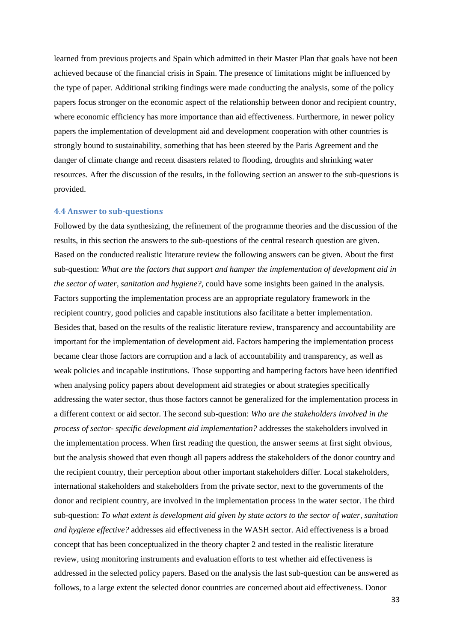learned from previous projects and Spain which admitted in their Master Plan that goals have not been achieved because of the financial crisis in Spain. The presence of limitations might be influenced by the type of paper. Additional striking findings were made conducting the analysis, some of the policy papers focus stronger on the economic aspect of the relationship between donor and recipient country, where economic efficiency has more importance than aid effectiveness. Furthermore, in newer policy papers the implementation of development aid and development cooperation with other countries is strongly bound to sustainability, something that has been steered by the Paris Agreement and the danger of climate change and recent disasters related to flooding, droughts and shrinking water resources. After the discussion of the results, in the following section an answer to the sub-questions is provided.

#### <span id="page-32-0"></span>**4.4 Answer to sub-questions**

Followed by the data synthesizing, the refinement of the programme theories and the discussion of the results, in this section the answers to the sub-questions of the central research question are given. Based on the conducted realistic literature review the following answers can be given. About the first sub-question: *What are the factors that support and hamper the implementation of development aid in the sector of water, sanitation and hygiene?,* could have some insights been gained in the analysis. Factors supporting the implementation process are an appropriate regulatory framework in the recipient country, good policies and capable institutions also facilitate a better implementation. Besides that, based on the results of the realistic literature review, transparency and accountability are important for the implementation of development aid. Factors hampering the implementation process became clear those factors are corruption and a lack of accountability and transparency, as well as weak policies and incapable institutions. Those supporting and hampering factors have been identified when analysing policy papers about development aid strategies or about strategies specifically addressing the water sector, thus those factors cannot be generalized for the implementation process in a different context or aid sector. The second sub-question: *Who are the stakeholders involved in the process of sector- specific development aid implementation?* addresses the stakeholders involved in the implementation process. When first reading the question, the answer seems at first sight obvious, but the analysis showed that even though all papers address the stakeholders of the donor country and the recipient country, their perception about other important stakeholders differ. Local stakeholders, international stakeholders and stakeholders from the private sector, next to the governments of the donor and recipient country, are involved in the implementation process in the water sector. The third sub-question: *To what extent is development aid given by state actors to the sector of water, sanitation and hygiene effective?* addresses aid effectiveness in the WASH sector. Aid effectiveness is a broad concept that has been conceptualized in the theory chapter 2 and tested in the realistic literature review, using monitoring instruments and evaluation efforts to test whether aid effectiveness is addressed in the selected policy papers. Based on the analysis the last sub-question can be answered as follows, to a large extent the selected donor countries are concerned about aid effectiveness. Donor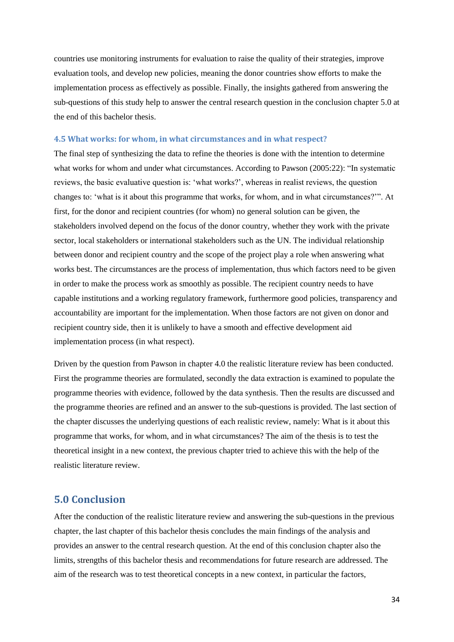countries use monitoring instruments for evaluation to raise the quality of their strategies, improve evaluation tools, and develop new policies, meaning the donor countries show efforts to make the implementation process as effectively as possible. Finally, the insights gathered from answering the sub-questions of this study help to answer the central research question in the conclusion chapter 5.0 at the end of this bachelor thesis.

#### <span id="page-33-0"></span>**4.5 What works: for whom, in what circumstances and in what respect?**

The final step of synthesizing the data to refine the theories is done with the intention to determine what works for whom and under what circumstances. According to Pawson (2005:22): "In systematic reviews, the basic evaluative question is: 'what works?', whereas in realist reviews, the question changes to: 'what is it about this programme that works, for whom, and in what circumstances?'". At first, for the donor and recipient countries (for whom) no general solution can be given, the stakeholders involved depend on the focus of the donor country, whether they work with the private sector, local stakeholders or international stakeholders such as the UN. The individual relationship between donor and recipient country and the scope of the project play a role when answering what works best. The circumstances are the process of implementation, thus which factors need to be given in order to make the process work as smoothly as possible. The recipient country needs to have capable institutions and a working regulatory framework, furthermore good policies, transparency and accountability are important for the implementation. When those factors are not given on donor and recipient country side, then it is unlikely to have a smooth and effective development aid implementation process (in what respect).

Driven by the question from Pawson in chapter 4.0 the realistic literature review has been conducted. First the programme theories are formulated, secondly the data extraction is examined to populate the programme theories with evidence, followed by the data synthesis. Then the results are discussed and the programme theories are refined and an answer to the sub-questions is provided. The last section of the chapter discusses the underlying questions of each realistic review, namely: What is it about this programme that works, for whom, and in what circumstances? The aim of the thesis is to test the theoretical insight in a new context, the previous chapter tried to achieve this with the help of the realistic literature review.

# <span id="page-33-1"></span>**5.0 Conclusion**

After the conduction of the realistic literature review and answering the sub-questions in the previous chapter, the last chapter of this bachelor thesis concludes the main findings of the analysis and provides an answer to the central research question. At the end of this conclusion chapter also the limits, strengths of this bachelor thesis and recommendations for future research are addressed. The aim of the research was to test theoretical concepts in a new context, in particular the factors,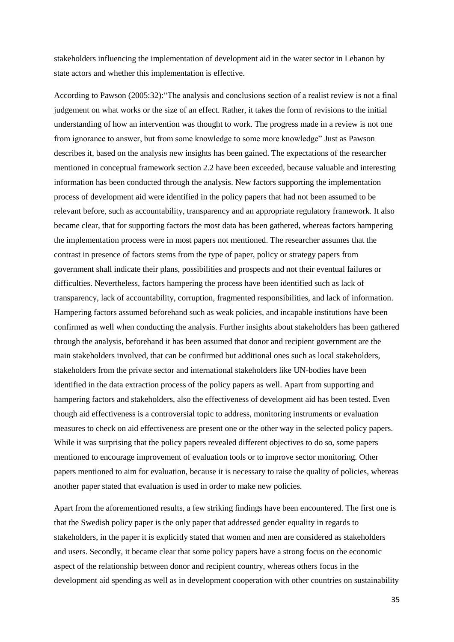stakeholders influencing the implementation of development aid in the water sector in Lebanon by state actors and whether this implementation is effective.

According to Pawson (2005:32):"The analysis and conclusions section of a realist review is not a final judgement on what works or the size of an effect. Rather, it takes the form of revisions to the initial understanding of how an intervention was thought to work. The progress made in a review is not one from ignorance to answer, but from some knowledge to some more knowledge" Just as Pawson describes it, based on the analysis new insights has been gained. The expectations of the researcher mentioned in conceptual framework section 2.2 have been exceeded, because valuable and interesting information has been conducted through the analysis. New factors supporting the implementation process of development aid were identified in the policy papers that had not been assumed to be relevant before, such as accountability, transparency and an appropriate regulatory framework. It also became clear, that for supporting factors the most data has been gathered, whereas factors hampering the implementation process were in most papers not mentioned. The researcher assumes that the contrast in presence of factors stems from the type of paper, policy or strategy papers from government shall indicate their plans, possibilities and prospects and not their eventual failures or difficulties. Nevertheless, factors hampering the process have been identified such as lack of transparency, lack of accountability, corruption, fragmented responsibilities, and lack of information. Hampering factors assumed beforehand such as weak policies, and incapable institutions have been confirmed as well when conducting the analysis. Further insights about stakeholders has been gathered through the analysis, beforehand it has been assumed that donor and recipient government are the main stakeholders involved, that can be confirmed but additional ones such as local stakeholders, stakeholders from the private sector and international stakeholders like UN-bodies have been identified in the data extraction process of the policy papers as well. Apart from supporting and hampering factors and stakeholders, also the effectiveness of development aid has been tested. Even though aid effectiveness is a controversial topic to address, monitoring instruments or evaluation measures to check on aid effectiveness are present one or the other way in the selected policy papers. While it was surprising that the policy papers revealed different objectives to do so, some papers mentioned to encourage improvement of evaluation tools or to improve sector monitoring. Other papers mentioned to aim for evaluation, because it is necessary to raise the quality of policies, whereas another paper stated that evaluation is used in order to make new policies.

Apart from the aforementioned results, a few striking findings have been encountered. The first one is that the Swedish policy paper is the only paper that addressed gender equality in regards to stakeholders, in the paper it is explicitly stated that women and men are considered as stakeholders and users. Secondly, it became clear that some policy papers have a strong focus on the economic aspect of the relationship between donor and recipient country, whereas others focus in the development aid spending as well as in development cooperation with other countries on sustainability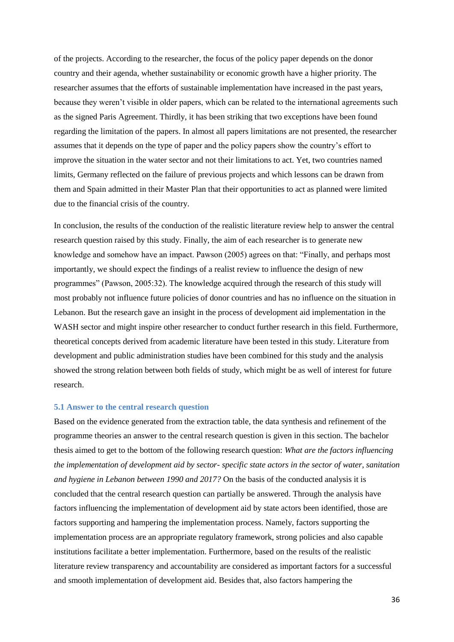of the projects. According to the researcher, the focus of the policy paper depends on the donor country and their agenda, whether sustainability or economic growth have a higher priority. The researcher assumes that the efforts of sustainable implementation have increased in the past years, because they weren't visible in older papers, which can be related to the international agreements such as the signed Paris Agreement. Thirdly, it has been striking that two exceptions have been found regarding the limitation of the papers. In almost all papers limitations are not presented, the researcher assumes that it depends on the type of paper and the policy papers show the country's effort to improve the situation in the water sector and not their limitations to act. Yet, two countries named limits, Germany reflected on the failure of previous projects and which lessons can be drawn from them and Spain admitted in their Master Plan that their opportunities to act as planned were limited due to the financial crisis of the country.

In conclusion, the results of the conduction of the realistic literature review help to answer the central research question raised by this study. Finally, the aim of each researcher is to generate new knowledge and somehow have an impact. Pawson (2005) agrees on that: "Finally, and perhaps most importantly, we should expect the findings of a realist review to influence the design of new programmes" (Pawson, 2005:32). The knowledge acquired through the research of this study will most probably not influence future policies of donor countries and has no influence on the situation in Lebanon. But the research gave an insight in the process of development aid implementation in the WASH sector and might inspire other researcher to conduct further research in this field. Furthermore, theoretical concepts derived from academic literature have been tested in this study. Literature from development and public administration studies have been combined for this study and the analysis showed the strong relation between both fields of study, which might be as well of interest for future research.

### <span id="page-35-0"></span>**5.1 Answer to the central research question**

Based on the evidence generated from the extraction table, the data synthesis and refinement of the programme theories an answer to the central research question is given in this section. The bachelor thesis aimed to get to the bottom of the following research question: *What are the factors influencing the implementation of development aid by sector- specific state actors in the sector of water, sanitation and hygiene in Lebanon between 1990 and 2017?* On the basis of the conducted analysis it is concluded that the central research question can partially be answered. Through the analysis have factors influencing the implementation of development aid by state actors been identified, those are factors supporting and hampering the implementation process. Namely, factors supporting the implementation process are an appropriate regulatory framework, strong policies and also capable institutions facilitate a better implementation. Furthermore, based on the results of the realistic literature review transparency and accountability are considered as important factors for a successful and smooth implementation of development aid. Besides that, also factors hampering the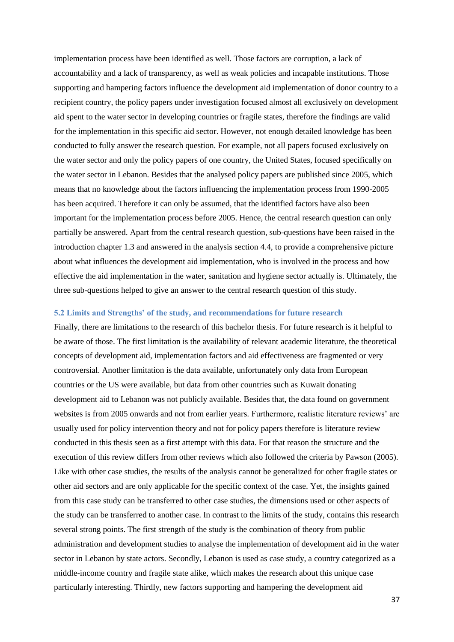implementation process have been identified as well. Those factors are corruption, a lack of accountability and a lack of transparency, as well as weak policies and incapable institutions. Those supporting and hampering factors influence the development aid implementation of donor country to a recipient country, the policy papers under investigation focused almost all exclusively on development aid spent to the water sector in developing countries or fragile states, therefore the findings are valid for the implementation in this specific aid sector. However, not enough detailed knowledge has been conducted to fully answer the research question. For example, not all papers focused exclusively on the water sector and only the policy papers of one country, the United States, focused specifically on the water sector in Lebanon. Besides that the analysed policy papers are published since 2005, which means that no knowledge about the factors influencing the implementation process from 1990-2005 has been acquired. Therefore it can only be assumed, that the identified factors have also been important for the implementation process before 2005. Hence, the central research question can only partially be answered. Apart from the central research question, sub-questions have been raised in the introduction chapter 1.3 and answered in the analysis section 4.4, to provide a comprehensive picture about what influences the development aid implementation, who is involved in the process and how effective the aid implementation in the water, sanitation and hygiene sector actually is. Ultimately, the three sub-questions helped to give an answer to the central research question of this study.

#### <span id="page-36-0"></span>**5.2 Limits and Strengths' of the study, and recommendations for future research**

Finally, there are limitations to the research of this bachelor thesis. For future research is it helpful to be aware of those. The first limitation is the availability of relevant academic literature, the theoretical concepts of development aid, implementation factors and aid effectiveness are fragmented or very controversial. Another limitation is the data available, unfortunately only data from European countries or the US were available, but data from other countries such as Kuwait donating development aid to Lebanon was not publicly available. Besides that, the data found on government websites is from 2005 onwards and not from earlier years. Furthermore, realistic literature reviews' are usually used for policy intervention theory and not for policy papers therefore is literature review conducted in this thesis seen as a first attempt with this data. For that reason the structure and the execution of this review differs from other reviews which also followed the criteria by Pawson (2005). Like with other case studies, the results of the analysis cannot be generalized for other fragile states or other aid sectors and are only applicable for the specific context of the case. Yet, the insights gained from this case study can be transferred to other case studies, the dimensions used or other aspects of the study can be transferred to another case. In contrast to the limits of the study, contains this research several strong points. The first strength of the study is the combination of theory from public administration and development studies to analyse the implementation of development aid in the water sector in Lebanon by state actors. Secondly, Lebanon is used as case study, a country categorized as a middle-income country and fragile state alike, which makes the research about this unique case particularly interesting. Thirdly, new factors supporting and hampering the development aid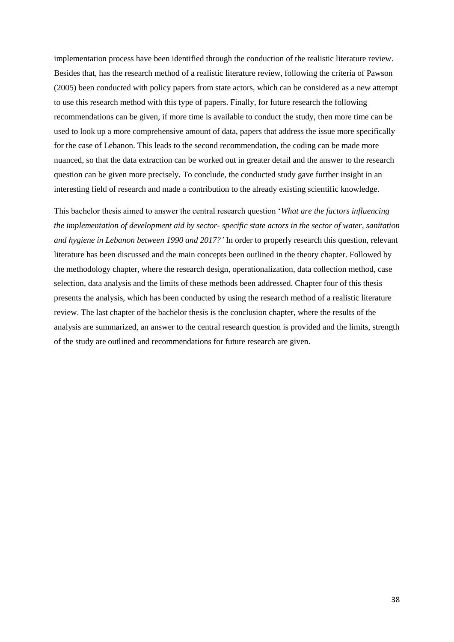implementation process have been identified through the conduction of the realistic literature review. Besides that, has the research method of a realistic literature review, following the criteria of Pawson (2005) been conducted with policy papers from state actors, which can be considered as a new attempt to use this research method with this type of papers. Finally, for future research the following recommendations can be given, if more time is available to conduct the study, then more time can be used to look up a more comprehensive amount of data, papers that address the issue more specifically for the case of Lebanon. This leads to the second recommendation, the coding can be made more nuanced, so that the data extraction can be worked out in greater detail and the answer to the research question can be given more precisely. To conclude, the conducted study gave further insight in an interesting field of research and made a contribution to the already existing scientific knowledge.

This bachelor thesis aimed to answer the central research question '*What are the factors influencing the implementation of development aid by sector- specific state actors in the sector of water, sanitation and hygiene in Lebanon between 1990 and 2017?'* In order to properly research this question, relevant literature has been discussed and the main concepts been outlined in the theory chapter. Followed by the methodology chapter, where the research design, operationalization, data collection method, case selection, data analysis and the limits of these methods been addressed. Chapter four of this thesis presents the analysis, which has been conducted by using the research method of a realistic literature review. The last chapter of the bachelor thesis is the conclusion chapter, where the results of the analysis are summarized, an answer to the central research question is provided and the limits, strength of the study are outlined and recommendations for future research are given.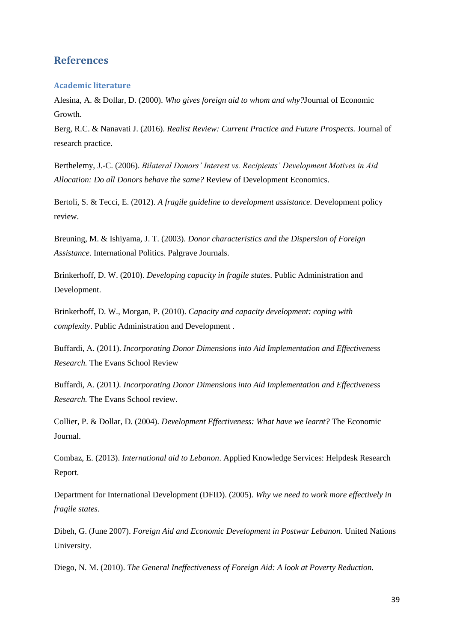# <span id="page-38-0"></span>**References**

#### <span id="page-38-1"></span>**Academic literature**

Alesina, A. & Dollar, D. (2000). *Who gives foreign aid to whom and why?*Journal of Economic Growth.

Berg, R.C. & Nanavati J. (2016). *Realist Review: Current Practice and Future Prospects.* Journal of research practice.

Berthelemy, J.-C. (2006). *Bilateral Donors' Interest vs. Recipients' Development Motives in Aid Allocation: Do all Donors behave the same?* Review of Development Economics.

Bertoli, S. & Tecci, E. (2012). *A fragile guideline to development assistance.* Development policy review.

Breuning, M. & Ishiyama, J. T. (2003). *Donor characteristics and the Dispersion of Foreign Assistance*. International Politics. Palgrave Journals.

Brinkerhoff, D. W. (2010). *Developing capacity in fragile states*. Public Administration and Development.

Brinkerhoff, D. W., Morgan, P. (2010). *Capacity and capacity development: coping with complexity*. Public Administration and Development .

Buffardi, A. (2011). *Incorporating Donor Dimensions into Aid Implementation and Effectiveness Research.* The Evans School Review

Buffardi, A. (2011*). Incorporating Donor Dimensions into Aid Implementation and Effectiveness Research.* The Evans School review.

Collier, P. & Dollar, D. (2004). *Development Effectiveness: What have we learnt?* The Economic Journal.

Combaz, E. (2013). *International aid to Lebanon*. Applied Knowledge Services: Helpdesk Research Report.

Department for International Development (DFID). (2005). *Why we need to work more effectively in fragile states.*

Dibeh, G. (June 2007). *Foreign Aid and Economic Development in Postwar Lebanon.* United Nations University.

Diego, N. M. (2010). *The General Ineffectiveness of Foreign Aid: A look at Poverty Reduction.*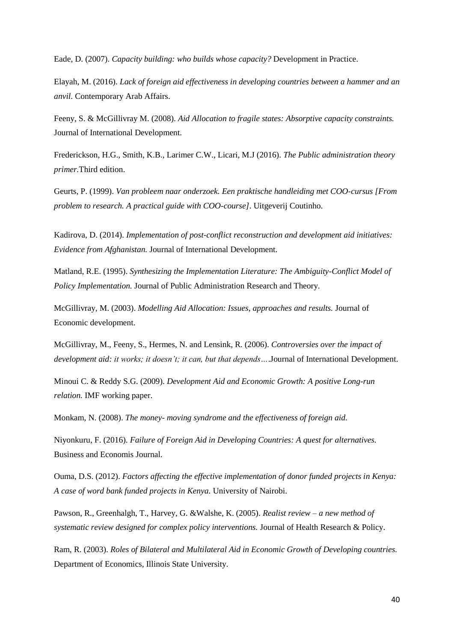Eade, D. (2007). *Capacity building: who builds whose capacity?* Development in Practice.

Elayah, M. (2016). *Lack of foreign aid effectiveness in developing countries between a hammer and an anvil.* Contemporary Arab Affairs.

Feeny, S. & McGillivray M. (2008). *Aid Allocation to fragile states: Absorptive capacity constraints.*  Journal of International Development.

Frederickson, H.G., Smith, K.B., Larimer C.W., Licari, M.J (2016). *The Public administration theory primer.*Third edition.

Geurts, P. (1999). *Van probleem naar onderzoek. Een praktische handleiding met COO-cursus [From problem to research. A practical guide with COO-course]*. Uitgeverij Coutinho.

Kadirova, D. (2014). *Implementation of post-conflict reconstruction and development aid initiatives: Evidence from Afghanistan.* Journal of International Development.

Matland, R.E. (1995). *Synthesizing the Implementation Literature: The Ambiguity-Conflict Model of Policy Implementation.* Journal of Public Administration Research and Theory.

McGillivray, M. (2003). *Modelling Aid Allocation: Issues, approaches and results.* Journal of Economic development.

McGillivray, M., Feeny, S., Hermes, N. and Lensink, R. (2006). *Controversies over the impact of development aid: it works; it doesn't; it can, but that depends…*.Journal of International Development.

Minoui C. & Reddy S.G. (2009). *Development Aid and Economic Growth: A positive Long-run relation.* IMF working paper.

Monkam, N. (2008). *The money- moving syndrome and the effectiveness of foreign aid.* 

Niyonkuru, F. (2016). *Failure of Foreign Aid in Developing Countries: A quest for alternatives.* Business and Economis Journal.

Ouma, D.S. (2012). *Factors affecting the effective implementation of donor funded projects in Kenya: A case of word bank funded projects in Kenya.* University of Nairobi.

Pawson, R., Greenhalgh, T., Harvey, G. &Walshe, K. (2005). *Realist review – a new method of systematic review designed for complex policy interventions.* Journal of Health Research & Policy.

Ram, R. (2003). *Roles of Bilateral and Multilateral Aid in Economic Growth of Developing countries.* Department of Economics, Illinois State University.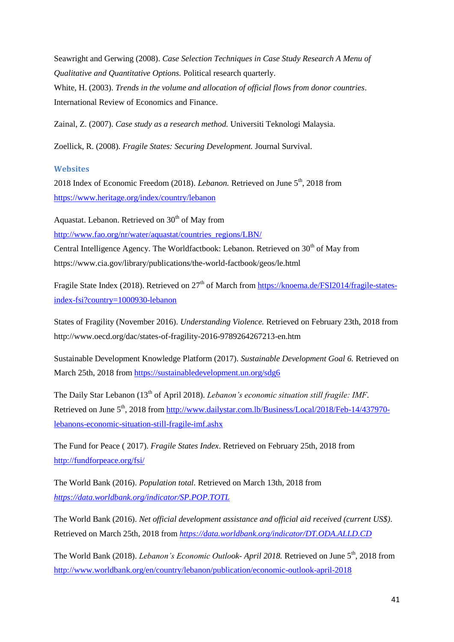Seawright and Gerwing (2008). *Case Selection Techniques in Case Study Research A Menu of Qualitative and Quantitative Options.* Political research quarterly. White, H. (2003). *Trends in the volume and allocation of official flows from donor countries*. International Review of Economics and Finance.

Zainal, Z. (2007). *Case study as a research method.* Universiti Teknologi Malaysia.

Zoellick, R. (2008). *Fragile States: Securing Development.* Journal Survival.

#### <span id="page-40-0"></span>**Websites**

2018 Index of Economic Freedom (2018). *Lebanon*. Retrieved on June 5<sup>th</sup>. 2018 from <https://www.heritage.org/index/country/lebanon>

Aquastat. Lebanon. Retrieved on  $30<sup>th</sup>$  of May from

[http://www.fao.org/nr/water/aquastat/countries\\_regions/LBN/](http://www.fao.org/nr/water/aquastat/countries_regions/LBN/)

Central Intelligence Agency. The Worldfactbook: Lebanon. Retrieved on  $30<sup>th</sup>$  of May from https://www.cia.gov/library/publications/the-world-factbook/geos/le.html

Fragile State Index (2018). Retrieved on 27<sup>th</sup> of March from [https://knoema.de/FSI2014/fragile-states](https://knoema.de/FSI2014/fragile-states-index-fsi?country=1000930-lebanon)[index-fsi?country=1000930-lebanon](https://knoema.de/FSI2014/fragile-states-index-fsi?country=1000930-lebanon)

States of Fragility (November 2016). *Understanding Violence.* Retrieved on February 23th, 2018 from http://www.oecd.org/dac/states-of-fragility-2016-9789264267213-en.htm

Sustainable Development Knowledge Platform (2017). *Sustainable Development Goal 6.* Retrieved on March 25th, 2018 from<https://sustainabledevelopment.un.org/sdg6>

The Daily Star Lebanon (13<sup>th</sup> of April 2018). *Lebanon's economic situation still fragile: IMF*. Retrieved on June 5<sup>th</sup>, 2018 from [http://www.dailystar.com.lb/Business/Local/2018/Feb-14/437970](http://www.dailystar.com.lb/Business/Local/2018/Feb-14/437970-lebanons-economic-situation-still-fragile-imf.ashx) [lebanons-economic-situation-still-fragile-imf.ashx](http://www.dailystar.com.lb/Business/Local/2018/Feb-14/437970-lebanons-economic-situation-still-fragile-imf.ashx)

The Fund for Peace ( 2017). *Fragile States Index*. Retrieved on February 25th, 2018 from <http://fundforpeace.org/fsi/>

The World Bank (2016). *Population total.* Retrieved on March 13th, 2018 from *<https://data.worldbank.org/indicator/SP.POP.TOTL>*

The World Bank (2016). *Net official development assistance and official aid received (current US\$)*. Retrieved on March 25th, 2018 from *<https://data.worldbank.org/indicator/DT.ODA.ALLD.CD>*

The World Bank (2018). *Lebanon's Economic Outlook-April 2018*. Retrieved on June 5<sup>th</sup>, 2018 from <http://www.worldbank.org/en/country/lebanon/publication/economic-outlook-april-2018>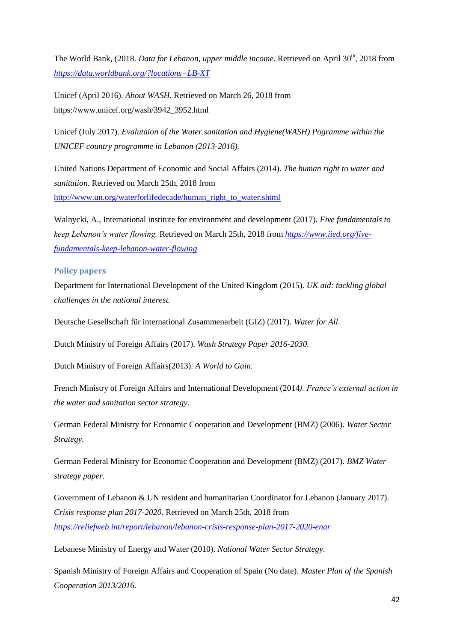The World Bank, (2018. *Data for Lebanon, upper middle income*. Retrieved on April 30<sup>th</sup>, 2018 from *<https://data.worldbank.org/?locations=LB-XT>*

Unicef (April 2016). *About WASH.* Retrieved on March 26, 2018 from https://www.unicef.org/wash/3942\_3952.html

Unicef (July 2017). *Evalutaion of the Water sanitation and Hygiene(WASH) Pogramme within the UNICEF country programme in Lebanon (2013-2016).*

United Nations Department of Economic and Social Affairs (2014). *The human right to water and sanitation*. Retrieved on March 25th, 2018 from [http://www.un.org/waterforlifedecade/human\\_right\\_to\\_water.shtml](http://www.un.org/waterforlifedecade/human_right_to_water.shtml)

Walnycki, A., International institute for environment and development (2017). *Five fundamentals to keep Lebanon's water flowing.* Retrieved on March 25th, 2018 from *[https://www.iied.org/five](https://www.iied.org/five-fundamentals-keep-lebanon-water-flowing)[fundamentals-keep-lebanon-water-flowing](https://www.iied.org/five-fundamentals-keep-lebanon-water-flowing)*

#### <span id="page-41-0"></span>**Policy papers**

Department for International Development of the United Kingdom (2015). *UK aid: tackling global challenges in the national interest.*

Deutsche Gesellschaft für international Zusammenarbeit (GIZ) (2017). *Water for All.*

Dutch Ministry of Foreign Affairs (2017). *Wash Strategy Paper 2016-2030.*

Dutch Ministry of Foreign Affairs(2013). *A World to Gain.*

French Ministry of Foreign Affairs and International Development (2014*). France's external action in the water and sanitation sector strategy.*

German Federal Ministry for Economic Cooperation and Development (BMZ) (2006). *Water Sector Strategy.*

German Federal Ministry for Economic Cooperation and Development (BMZ) (2017). *BMZ Water strategy paper.*

Government of Lebanon & UN resident and humanitarian Coordinator for Lebanon (January 2017). *Crisis response plan 2017-2020.* Retrieved on March 25th, 2018 from *<https://reliefweb.int/report/lebanon/lebanon-crisis-response-plan-2017-2020-enar>*

Lebanese Ministry of Energy and Water (2010). *National Water Sector Strategy.*

Spanish Ministry of Foreign Affairs and Cooperation of Spain (No date). *Master Plan of the Spanish Cooperation 2013/2016.*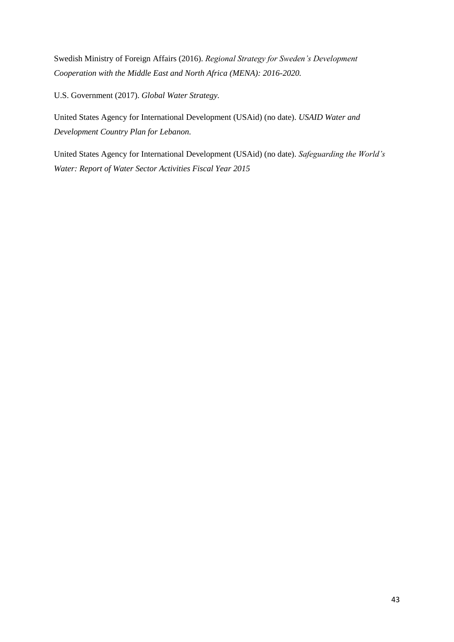Swedish Ministry of Foreign Affairs (2016). *Regional Strategy for Sweden's Development Cooperation with the Middle East and North Africa (MENA): 2016-2020.*

U.S. Government (2017). *Global Water Strategy.*

United States Agency for International Development (USAid) (no date). *USAID Water and Development Country Plan for Lebanon.*

United States Agency for International Development (USAid) (no date). *Safeguarding the World's Water: Report of Water Sector Activities Fiscal Year 2015*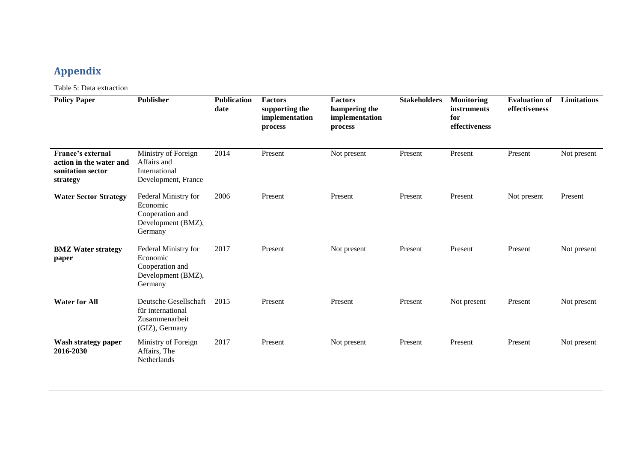# **Appendix**

Table 5: Data extraction

<span id="page-43-0"></span>

| <b>Policy Paper</b>                                                           | <b>Publisher</b>                                                                     | <b>Publication</b><br>date | <b>Factors</b><br>supporting the<br>implementation<br>process | <b>Factors</b><br>hampering the<br>implementation<br>process | <b>Stakeholders</b> | <b>Monitoring</b><br><i>instruments</i><br>for<br>effectiveness | <b>Evaluation of</b><br>effectiveness | Limitations |
|-------------------------------------------------------------------------------|--------------------------------------------------------------------------------------|----------------------------|---------------------------------------------------------------|--------------------------------------------------------------|---------------------|-----------------------------------------------------------------|---------------------------------------|-------------|
| France's external<br>action in the water and<br>sanitation sector<br>strategy | Ministry of Foreign<br>Affairs and<br>International<br>Development, France           | 2014                       | Present                                                       | Not present                                                  | Present             | Present                                                         | Present                               | Not present |
| <b>Water Sector Strategy</b>                                                  | Federal Ministry for<br>Economic<br>Cooperation and<br>Development (BMZ),<br>Germany | 2006                       | Present                                                       | Present                                                      | Present             | Present                                                         | Not present                           | Present     |
| <b>BMZ</b> Water strategy<br>paper                                            | Federal Ministry for<br>Economic<br>Cooperation and<br>Development (BMZ),<br>Germany | 2017                       | Present                                                       | Not present                                                  | Present             | Present                                                         | Present                               | Not present |
| <b>Water for All</b>                                                          | Deutsche Gesellschaft<br>für international<br>Zusammenarbeit<br>(GIZ), Germany       | 2015                       | Present                                                       | Present                                                      | Present             | Not present                                                     | Present                               | Not present |
| Wash strategy paper<br>2016-2030                                              | Ministry of Foreign<br>Affairs, The<br>Netherlands                                   | 2017                       | Present                                                       | Not present                                                  | Present             | Present                                                         | Present                               | Not present |